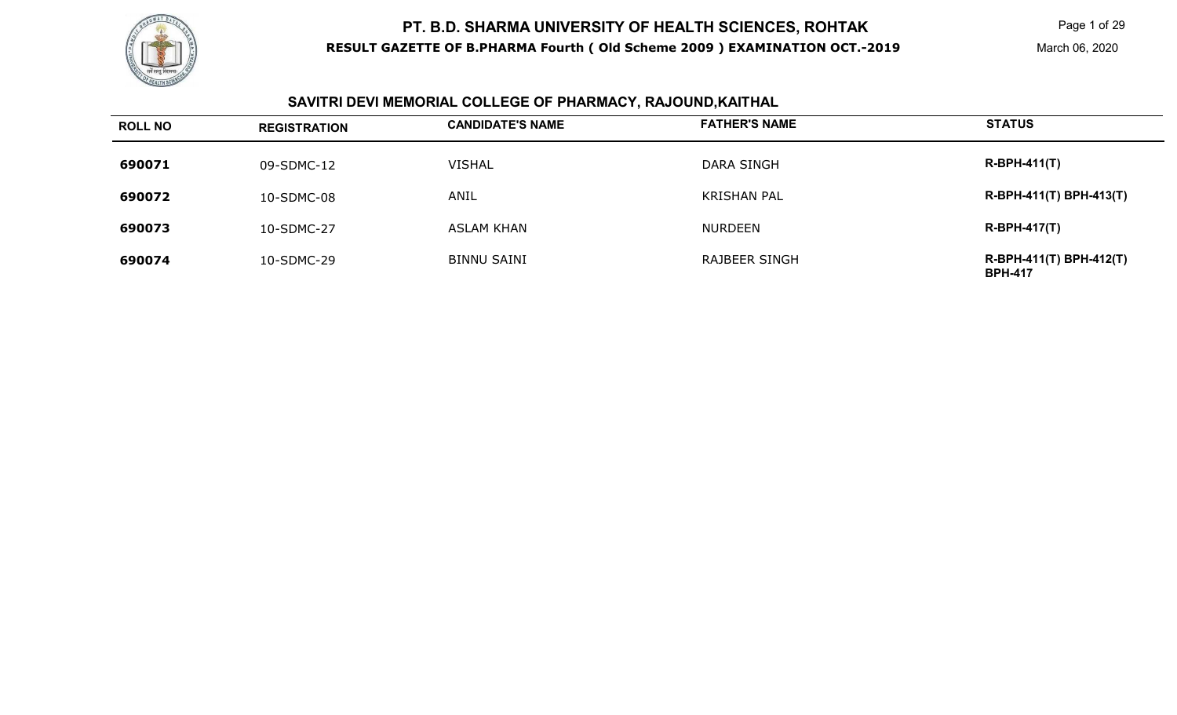

Page 1 of 29

# **SAVITRI DEVI MEMORIAL COLLEGE OF PHARMACY, RAJOUND,KAITHAL**

| <b>ROLL NO</b> | <b>REGISTRATION</b> | <b>CANDIDATE'S NAME</b> | <b>FATHER'S NAME</b> | <b>STATUS</b>                             |
|----------------|---------------------|-------------------------|----------------------|-------------------------------------------|
| 690071         | 09-SDMC-12          | <b>VISHAL</b>           | DARA SINGH           | $R-BPH-411(T)$                            |
| 690072         | 10-SDMC-08          | ANIL                    | <b>KRISHAN PAL</b>   | R-BPH-411(T) BPH-413(T)                   |
| 690073         | 10-SDMC-27          | ASLAM KHAN              | <b>NURDEEN</b>       | <b>R-BPH-417(T)</b>                       |
| 690074         | 10-SDMC-29          | <b>BINNU SAINI</b>      | RAJBEER SINGH        | R-BPH-411(T) BPH-412(T)<br><b>BPH-417</b> |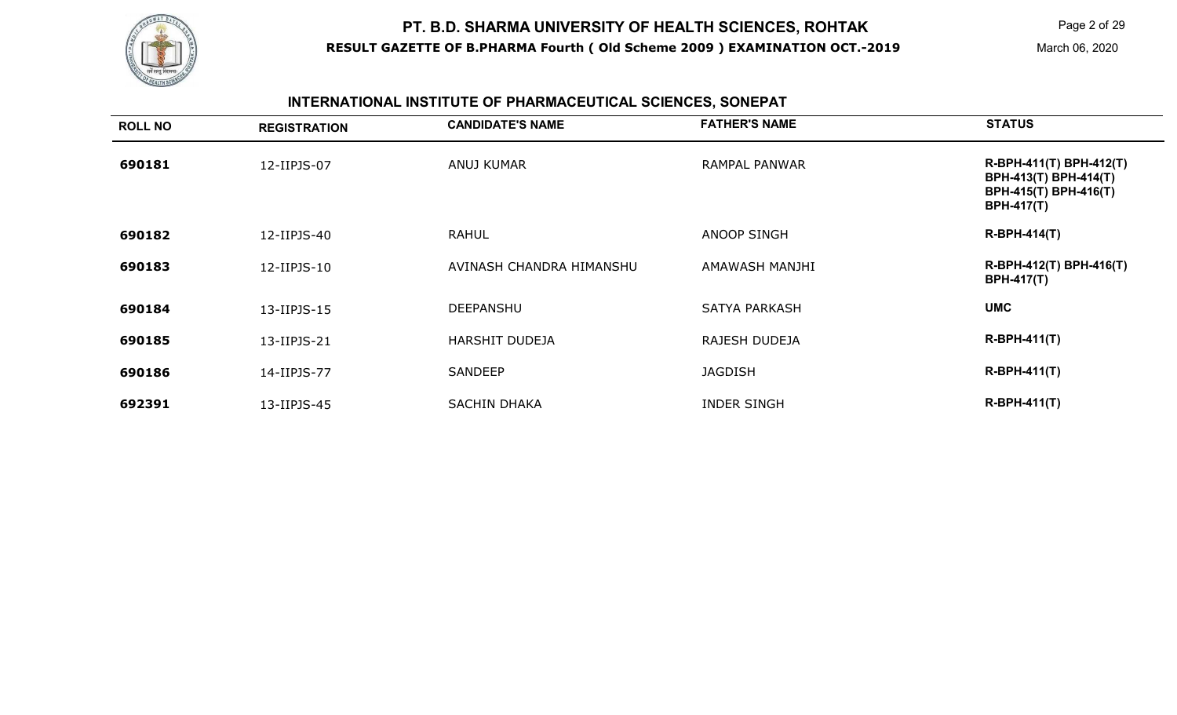

Page 2 of 29

# **INTERNATIONAL INSTITUTE OF PHARMACEUTICAL SCIENCES, SONEPAT**

| <b>ROLL NO</b> | <b>REGISTRATION</b> | <b>CANDIDATE'S NAME</b>  | <b>FATHER'S NAME</b> | <b>STATUS</b>                                                                                         |
|----------------|---------------------|--------------------------|----------------------|-------------------------------------------------------------------------------------------------------|
| 690181         | 12-IIPJS-07         | ANUJ KUMAR               | RAMPAL PANWAR        | R-BPH-411(T) BPH-412(T)<br>BPH-413(T) BPH-414(T)<br><b>BPH-415(T) BPH-416(T)</b><br><b>BPH-417(T)</b> |
| 690182         | 12-IIPJS-40         | <b>RAHUL</b>             | ANOOP SINGH          | <b>R-BPH-414(T)</b>                                                                                   |
| 690183         | 12-IIPJS-10         | AVINASH CHANDRA HIMANSHU | AMAWASH MANJHI       | R-BPH-412(T) BPH-416(T)<br><b>BPH-417(T)</b>                                                          |
| 690184         | 13-IIPJS-15         | <b>DEEPANSHU</b>         | <b>SATYA PARKASH</b> | <b>UMC</b>                                                                                            |
| 690185         | 13-IIPJS-21         | <b>HARSHIT DUDEJA</b>    | RAJESH DUDEJA        | $R-BPH-411(T)$                                                                                        |
| 690186         | 14-IIPJS-77         | SANDEEP                  | <b>JAGDISH</b>       | $R-BPH-411(T)$                                                                                        |
| 692391         | 13-IIPJS-45         | <b>SACHIN DHAKA</b>      | <b>INDER SINGH</b>   | $R-BPH-411(T)$                                                                                        |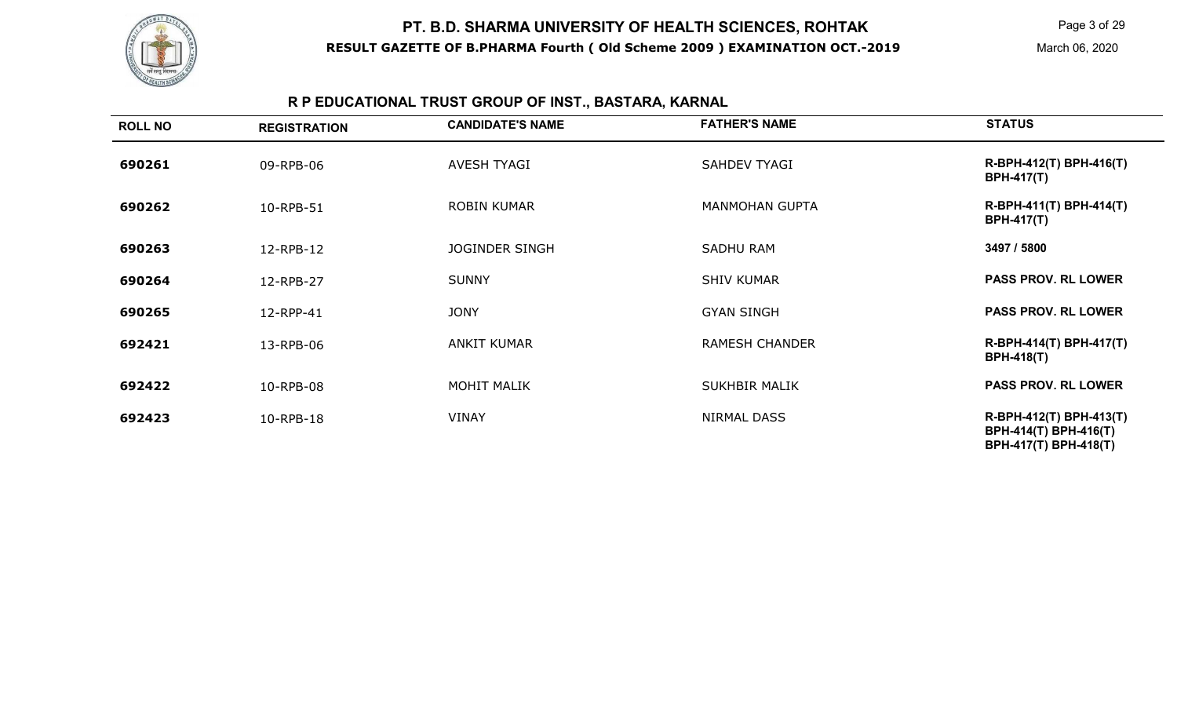

Page 3 of 29

# **R P EDUCATIONAL TRUST GROUP OF INST., BASTARA, KARNAL**

| <b>ROLL NO</b> | <b>REGISTRATION</b> | <b>CANDIDATE'S NAME</b> | <b>FATHER'S NAME</b>  | <b>STATUS</b>                                                             |
|----------------|---------------------|-------------------------|-----------------------|---------------------------------------------------------------------------|
| 690261         | 09-RPB-06           | AVESH TYAGI             | <b>SAHDEV TYAGI</b>   | R-BPH-412(T) BPH-416(T)<br><b>BPH-417(T)</b>                              |
| 690262         | 10-RPB-51           | <b>ROBIN KUMAR</b>      | <b>MANMOHAN GUPTA</b> | R-BPH-411(T) BPH-414(T)<br><b>BPH-417(T)</b>                              |
| 690263         | 12-RPB-12           | <b>JOGINDER SINGH</b>   | <b>SADHU RAM</b>      | 3497 / 5800                                                               |
| 690264         | 12-RPB-27           | <b>SUNNY</b>            | <b>SHIV KUMAR</b>     | <b>PASS PROV. RL LOWER</b>                                                |
| 690265         | 12-RPP-41           | <b>JONY</b>             | <b>GYAN SINGH</b>     | <b>PASS PROV. RL LOWER</b>                                                |
| 692421         | 13-RPB-06           | <b>ANKIT KUMAR</b>      | <b>RAMESH CHANDER</b> | R-BPH-414(T) BPH-417(T)<br><b>BPH-418(T)</b>                              |
| 692422         | 10-RPB-08           | <b>MOHIT MALIK</b>      | <b>SUKHBIR MALIK</b>  | <b>PASS PROV. RL LOWER</b>                                                |
| 692423         | 10-RPB-18           | <b>VINAY</b>            | NIRMAL DASS           | R-BPH-412(T) BPH-413(T)<br>BPH-414(T) BPH-416(T)<br>BPH-417(T) BPH-418(T) |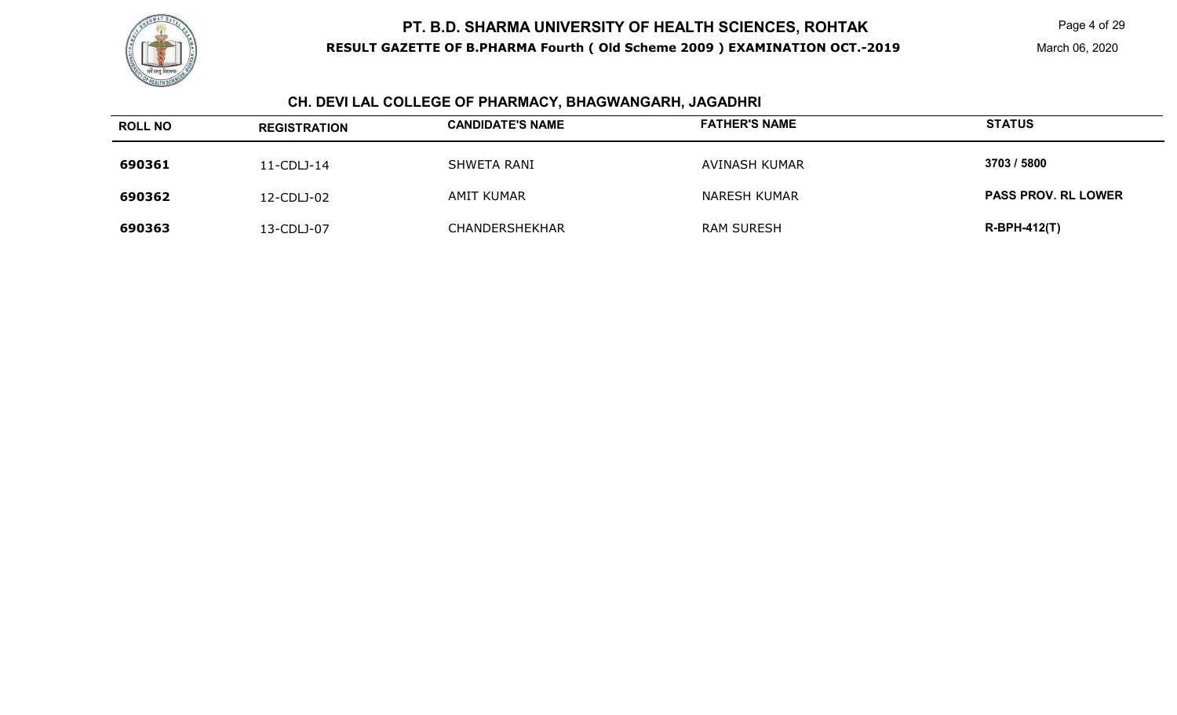

Page 4 of 29

March 06, 2020

#### **CH. DEVI LAL COLLEGE OF PHARMACY, BHAGWANGARH, JAGADHRI**

| <b>ROLL NO</b> | <b>REGISTRATION</b> | <b>CANDIDATE'S NAME</b> | <b>FATHER'S NAME</b> | <b>STATUS</b>              |
|----------------|---------------------|-------------------------|----------------------|----------------------------|
| 690361         | $11$ -CDLJ-14       | SHWETA RANI             | AVINASH KUMAR        | 3703 / 5800                |
| 690362         | 12-CDLJ-02          | AMIT KUMAR              | NARESH KUMAR         | <b>PASS PROV. RL LOWER</b> |
| 690363         | 13-CDLJ-07          | CHANDERSHEKHAR          | <b>RAM SURESH</b>    | $R-BPH-412(T)$             |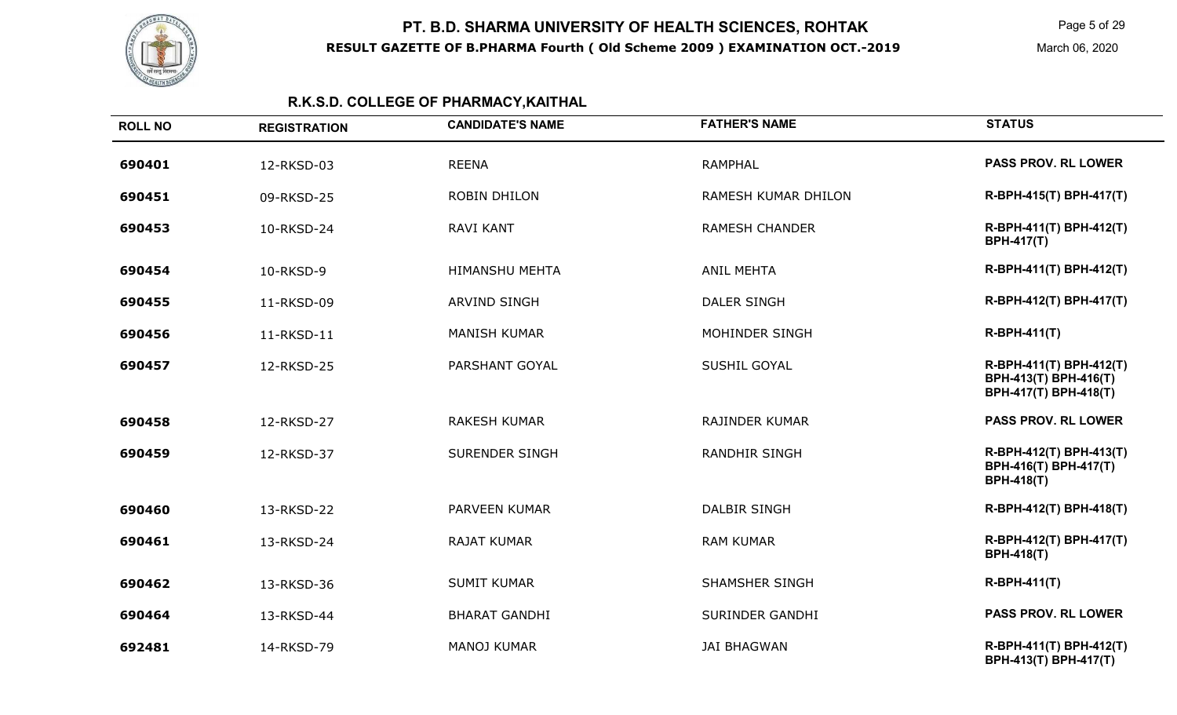

Page 5 of 29

March 06, 2020

# **R.K.S.D. COLLEGE OF PHARMACY,KAITHAL**

| <b>ROLL NO</b> | <b>REGISTRATION</b> | <b>CANDIDATE'S NAME</b> | <b>FATHER'S NAME</b>  | <b>STATUS</b>                                                             |
|----------------|---------------------|-------------------------|-----------------------|---------------------------------------------------------------------------|
| 690401         | 12-RKSD-03          | <b>REENA</b>            | <b>RAMPHAL</b>        | <b>PASS PROV. RL LOWER</b>                                                |
| 690451         | 09-RKSD-25          | <b>ROBIN DHILON</b>     | RAMESH KUMAR DHILON   | R-BPH-415(T) BPH-417(T)                                                   |
| 690453         | 10-RKSD-24          | <b>RAVI KANT</b>        | <b>RAMESH CHANDER</b> | R-BPH-411(T) BPH-412(T)<br><b>BPH-417(T)</b>                              |
| 690454         | 10-RKSD-9           | <b>HIMANSHU MEHTA</b>   | <b>ANIL MEHTA</b>     | R-BPH-411(T) BPH-412(T)                                                   |
| 690455         | 11-RKSD-09          | <b>ARVIND SINGH</b>     | <b>DALER SINGH</b>    | R-BPH-412(T) BPH-417(T)                                                   |
| 690456         | 11-RKSD-11          | <b>MANISH KUMAR</b>     | MOHINDER SINGH        | R-BPH-411(T)                                                              |
| 690457         | 12-RKSD-25          | PARSHANT GOYAL          | SUSHIL GOYAL          | R-BPH-411(T) BPH-412(T)<br>BPH-413(T) BPH-416(T)<br>BPH-417(T) BPH-418(T) |
| 690458         | 12-RKSD-27          | <b>RAKESH KUMAR</b>     | <b>RAJINDER KUMAR</b> | <b>PASS PROV. RL LOWER</b>                                                |
| 690459         | 12-RKSD-37          | <b>SURENDER SINGH</b>   | <b>RANDHIR SINGH</b>  | R-BPH-412(T) BPH-413(T)<br>BPH-416(T) BPH-417(T)<br><b>BPH-418(T)</b>     |
| 690460         | 13-RKSD-22          | <b>PARVEEN KUMAR</b>    | <b>DALBIR SINGH</b>   | R-BPH-412(T) BPH-418(T)                                                   |
| 690461         | 13-RKSD-24          | <b>RAJAT KUMAR</b>      | <b>RAM KUMAR</b>      | R-BPH-412(T) BPH-417(T)<br><b>BPH-418(T)</b>                              |
| 690462         | 13-RKSD-36          | <b>SUMIT KUMAR</b>      | <b>SHAMSHER SINGH</b> | R-BPH-411(T)                                                              |
| 690464         | 13-RKSD-44          | <b>BHARAT GANDHI</b>    | SURINDER GANDHI       | <b>PASS PROV. RL LOWER</b>                                                |
| 692481         | 14-RKSD-79          | <b>MANOJ KUMAR</b>      | <b>JAI BHAGWAN</b>    | R-BPH-411(T) BPH-412(T)<br>BPH-413(T) BPH-417(T)                          |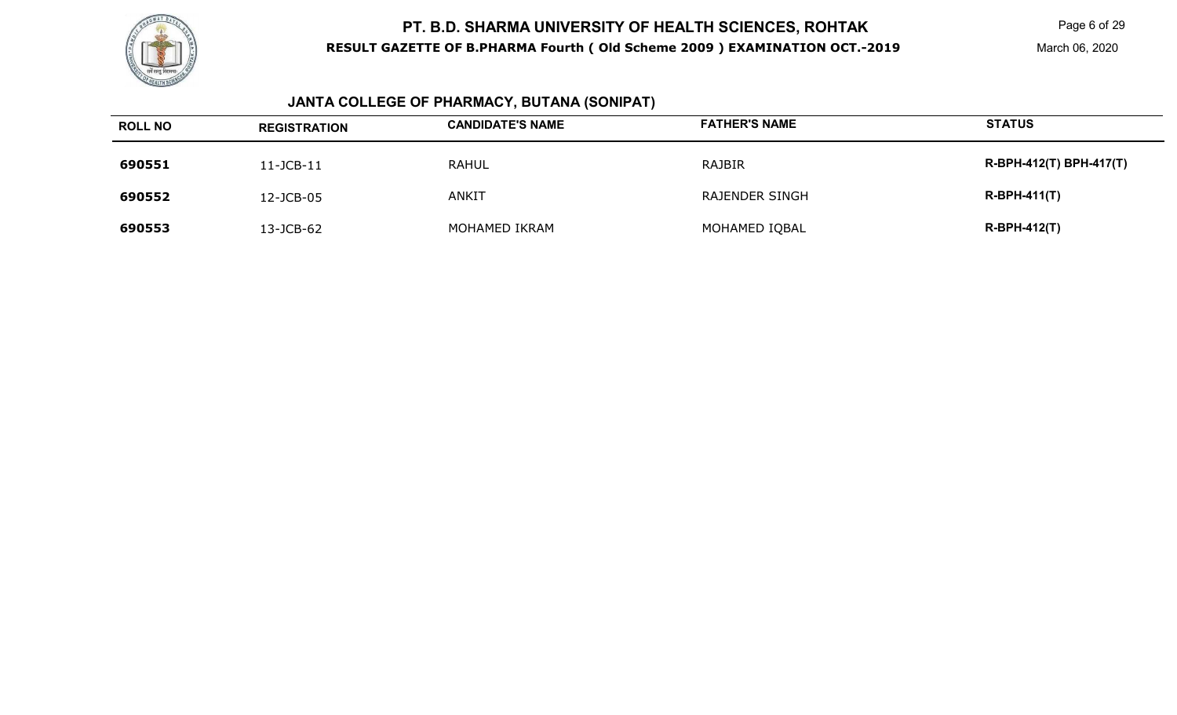

Page 6 of 29

March 06, 2020

#### **JANTA COLLEGE OF PHARMACY, BUTANA (SONIPAT)**

| <b>ROLL NO</b> | <b>REGISTRATION</b> | <b>CANDIDATE'S NAME</b> | <b>FATHER'S NAME</b> | <b>STATUS</b>           |
|----------------|---------------------|-------------------------|----------------------|-------------------------|
| 690551         | 11-JCB-11           | <b>RAHUL</b>            | RAJBIR               | R-BPH-412(T) BPH-417(T) |
| 690552         | 12-JCB-05           | <b>ANKIT</b>            | RAJENDER SINGH       | $R-BPH-411(T)$          |
| 690553         | 13-JCB-62           | MOHAMED IKRAM           | MOHAMED IQBAL        | $R-BPH-412(T)$          |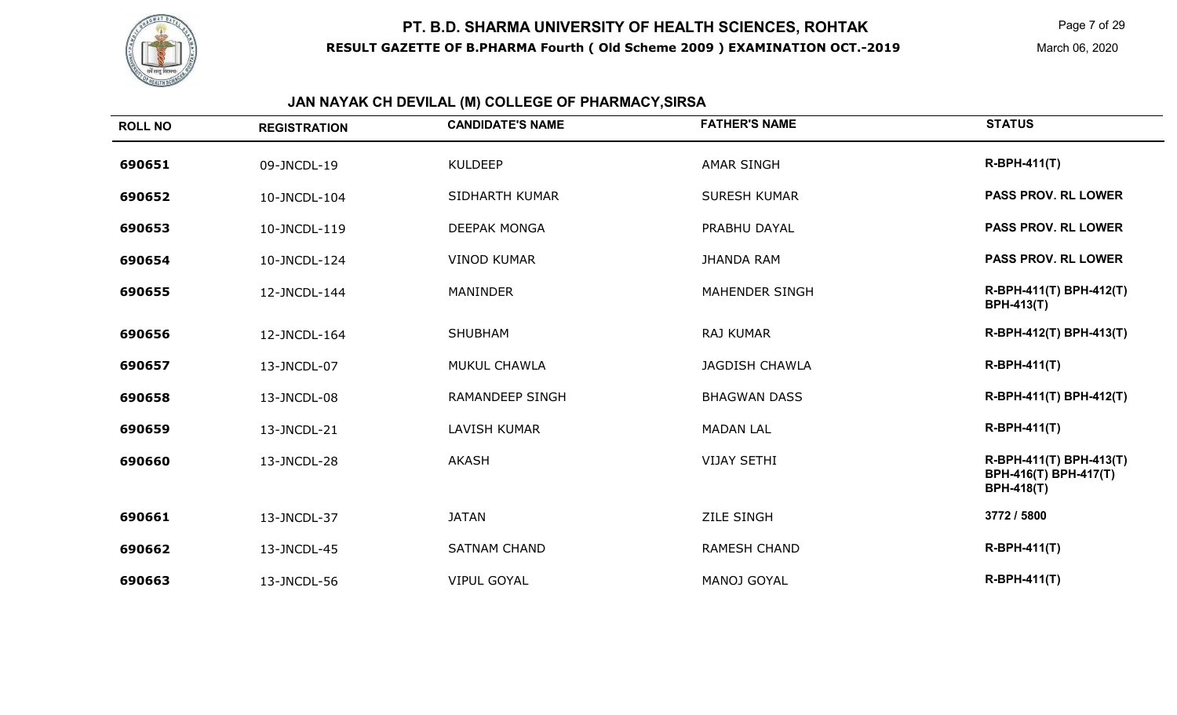

Page 7 of 29

# **JAN NAYAK CH DEVILAL (M) COLLEGE OF PHARMACY,SIRSA**

| <b>ROLL NO</b> | <b>REGISTRATION</b> | <b>CANDIDATE'S NAME</b> | <b>FATHER'S NAME</b>  | <b>STATUS</b>                                                         |
|----------------|---------------------|-------------------------|-----------------------|-----------------------------------------------------------------------|
| 690651         | 09-JNCDL-19         | <b>KULDEEP</b>          | <b>AMAR SINGH</b>     | <b>R-BPH-411(T)</b>                                                   |
| 690652         | 10-JNCDL-104        | SIDHARTH KUMAR          | <b>SURESH KUMAR</b>   | <b>PASS PROV. RL LOWER</b>                                            |
| 690653         | 10-JNCDL-119        | <b>DEEPAK MONGA</b>     | PRABHU DAYAL          | <b>PASS PROV. RL LOWER</b>                                            |
| 690654         | 10-JNCDL-124        | <b>VINOD KUMAR</b>      | <b>JHANDA RAM</b>     | <b>PASS PROV. RL LOWER</b>                                            |
| 690655         | 12-JNCDL-144        | <b>MANINDER</b>         | <b>MAHENDER SINGH</b> | R-BPH-411(T) BPH-412(T)<br><b>BPH-413(T)</b>                          |
| 690656         | 12-JNCDL-164        | <b>SHUBHAM</b>          | <b>RAJ KUMAR</b>      | R-BPH-412(T) BPH-413(T)                                               |
| 690657         | 13-JNCDL-07         | MUKUL CHAWLA            | <b>JAGDISH CHAWLA</b> | <b>R-BPH-411(T)</b>                                                   |
| 690658         | 13-JNCDL-08         | <b>RAMANDEEP SINGH</b>  | <b>BHAGWAN DASS</b>   | R-BPH-411(T) BPH-412(T)                                               |
| 690659         | 13-JNCDL-21         | <b>LAVISH KUMAR</b>     | <b>MADAN LAL</b>      | <b>R-BPH-411(T)</b>                                                   |
| 690660         | 13-JNCDL-28         | <b>AKASH</b>            | <b>VIJAY SETHI</b>    | R-BPH-411(T) BPH-413(T)<br>BPH-416(T) BPH-417(T)<br><b>BPH-418(T)</b> |
| 690661         | 13-JNCDL-37         | <b>JATAN</b>            | <b>ZILE SINGH</b>     | 3772 / 5800                                                           |
| 690662         | 13-JNCDL-45         | <b>SATNAM CHAND</b>     | <b>RAMESH CHAND</b>   | <b>R-BPH-411(T)</b>                                                   |
| 690663         | 13-JNCDL-56         | <b>VIPUL GOYAL</b>      | <b>MANOJ GOYAL</b>    | <b>R-BPH-411(T)</b>                                                   |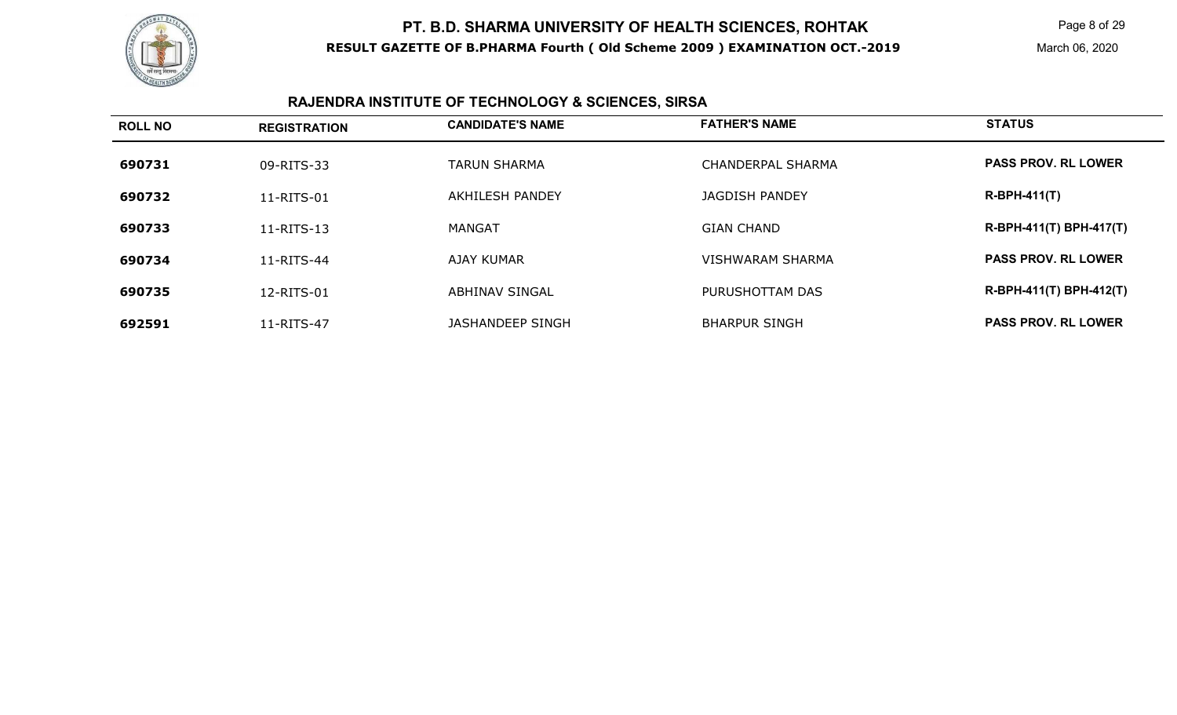

Page 8 of 29

March 06, 2020

# **RAJENDRA INSTITUTE OF TECHNOLOGY & SCIENCES, SIRSA**

| <b>ROLL NO</b> | <b>REGISTRATION</b> | <b>CANDIDATE'S NAME</b> | <b>FATHER'S NAME</b>     | <b>STATUS</b>              |
|----------------|---------------------|-------------------------|--------------------------|----------------------------|
| 690731         | 09-RITS-33          | <b>TARUN SHARMA</b>     | <b>CHANDERPAL SHARMA</b> | <b>PASS PROV. RL LOWER</b> |
| 690732         | 11-RITS-01          | AKHILESH PANDEY         | JAGDISH PANDEY           | $R-BPH-411(T)$             |
| 690733         | 11-RITS-13          | MANGAT                  | <b>GIAN CHAND</b>        | R-BPH-411(T) BPH-417(T)    |
| 690734         | 11-RITS-44          | AJAY KUMAR              | <b>VISHWARAM SHARMA</b>  | <b>PASS PROV. RL LOWER</b> |
| 690735         | 12-RITS-01          | ABHINAV SINGAL          | PURUSHOTTAM DAS          | R-BPH-411(T) BPH-412(T)    |
| 692591         | 11-RITS-47          | JASHANDEEP SINGH        | <b>BHARPUR SINGH</b>     | <b>PASS PROV. RL LOWER</b> |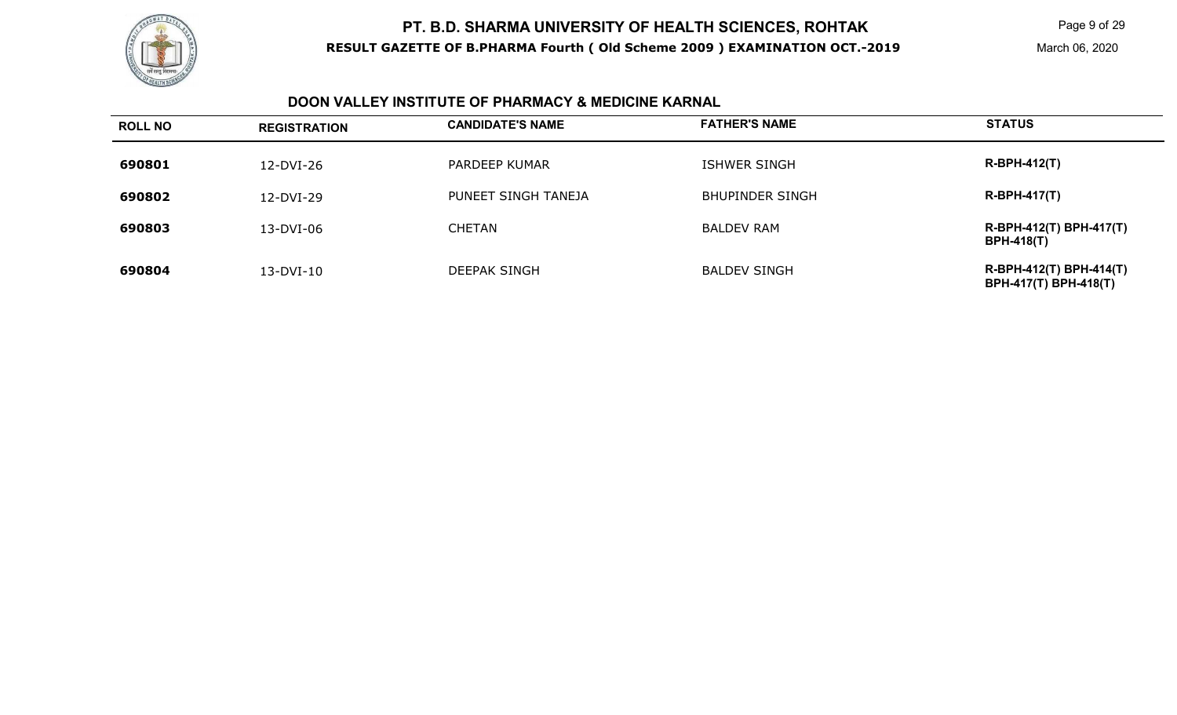

Page 9 of 29

#### **DOON VALLEY INSTITUTE OF PHARMACY & MEDICINE KARNAL**

| <b>ROLL NO</b> | <b>REGISTRATION</b> | <b>CANDIDATE'S NAME</b> | <b>FATHER'S NAME</b>   | <b>STATUS</b>                                           |
|----------------|---------------------|-------------------------|------------------------|---------------------------------------------------------|
| 690801         | 12-DVI-26           | PARDEEP KUMAR           | <b>ISHWER SINGH</b>    | <b>R-BPH-412(T)</b>                                     |
| 690802         | 12-DVI-29           | PUNEET SINGH TANEJA     | <b>BHUPINDER SINGH</b> | $R-BPH-417(T)$                                          |
| 690803         | 13-DVI-06           | <b>CHETAN</b>           | <b>BALDEV RAM</b>      | R-BPH-412(T) BPH-417(T)<br><b>BPH-418(T)</b>            |
| 690804         | 13-DVI-10           | <b>DEEPAK SINGH</b>     | <b>BALDEV SINGH</b>    | R-BPH-412(T) BPH-414(T)<br><b>BPH-417(T) BPH-418(T)</b> |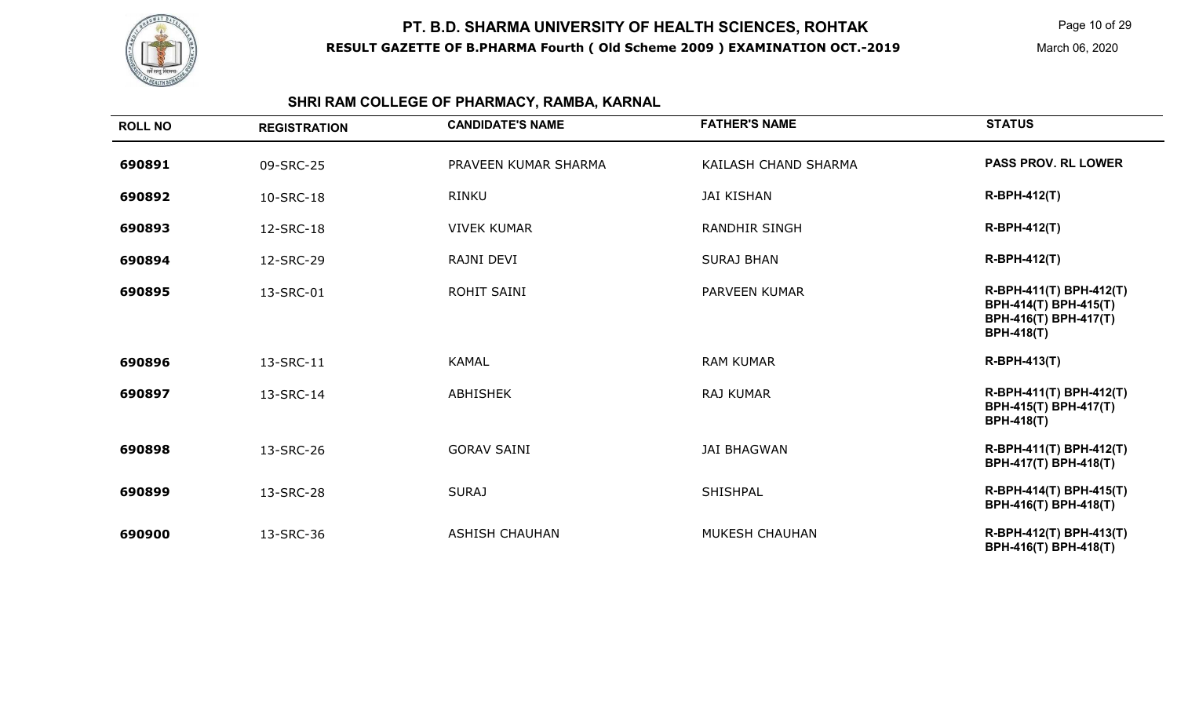

Page 10 of 29

March 06, 2020

# **SHRI RAM COLLEGE OF PHARMACY, RAMBA, KARNAL**

| <b>ROLL NO</b> | <b>REGISTRATION</b> | <b>CANDIDATE'S NAME</b> | <b>FATHER'S NAME</b> | <b>STATUS</b>                                                                                  |
|----------------|---------------------|-------------------------|----------------------|------------------------------------------------------------------------------------------------|
| 690891         | 09-SRC-25           | PRAVEEN KUMAR SHARMA    | KAILASH CHAND SHARMA | <b>PASS PROV. RL LOWER</b>                                                                     |
| 690892         | 10-SRC-18           | <b>RINKU</b>            | <b>JAI KISHAN</b>    | <b>R-BPH-412(T)</b>                                                                            |
| 690893         | 12-SRC-18           | <b>VIVEK KUMAR</b>      | <b>RANDHIR SINGH</b> | <b>R-BPH-412(T)</b>                                                                            |
| 690894         | 12-SRC-29           | RAJNI DEVI              | <b>SURAJ BHAN</b>    | <b>R-BPH-412(T)</b>                                                                            |
| 690895         | 13-SRC-01           | <b>ROHIT SAINI</b>      | PARVEEN KUMAR        | R-BPH-411(T) BPH-412(T)<br>BPH-414(T) BPH-415(T)<br>BPH-416(T) BPH-417(T)<br><b>BPH-418(T)</b> |
| 690896         | 13-SRC-11           | <b>KAMAL</b>            | <b>RAM KUMAR</b>     | <b>R-BPH-413(T)</b>                                                                            |
| 690897         | 13-SRC-14           | <b>ABHISHEK</b>         | <b>RAJ KUMAR</b>     | R-BPH-411(T) BPH-412(T)<br>BPH-415(T) BPH-417(T)<br><b>BPH-418(T)</b>                          |
| 690898         | 13-SRC-26           | <b>GORAV SAINI</b>      | <b>JAI BHAGWAN</b>   | R-BPH-411(T) BPH-412(T)<br>BPH-417(T) BPH-418(T)                                               |
| 690899         | 13-SRC-28           | <b>SURAJ</b>            | <b>SHISHPAL</b>      | R-BPH-414(T) BPH-415(T)<br>BPH-416(T) BPH-418(T)                                               |
| 690900         | 13-SRC-36           | <b>ASHISH CHAUHAN</b>   | MUKESH CHAUHAN       | R-BPH-412(T) BPH-413(T)<br>BPH-416(T) BPH-418(T)                                               |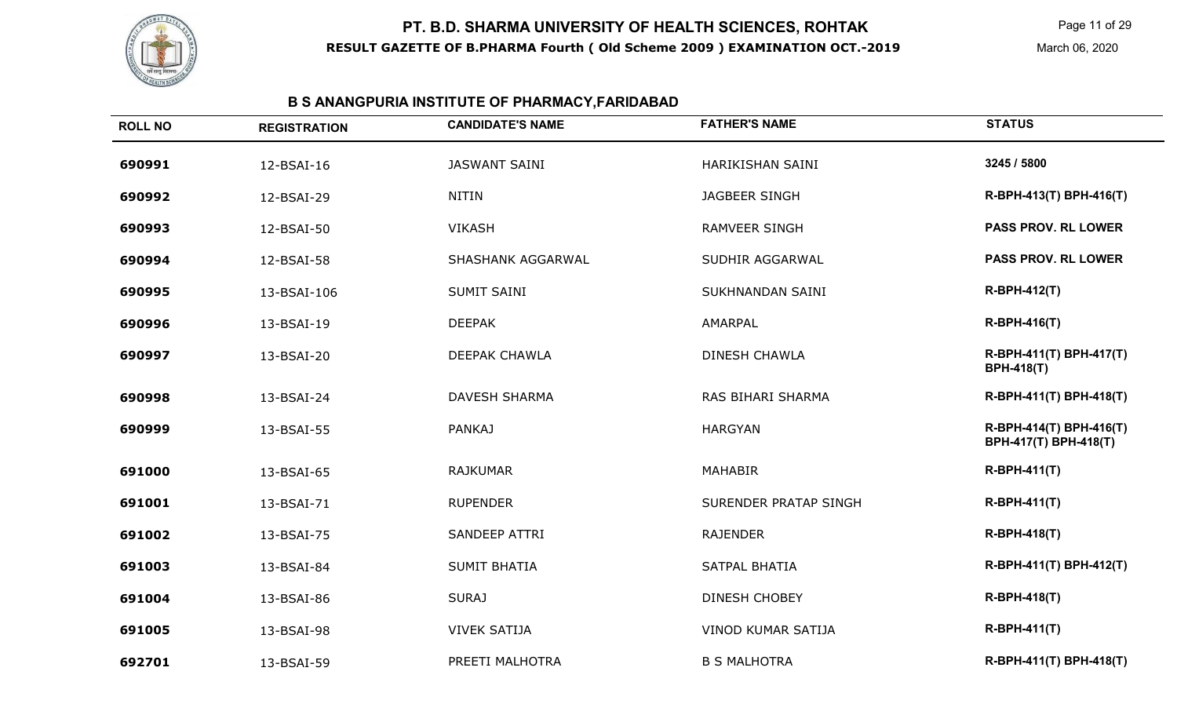

Page 11 of 29

March 06, 2020

# **B S ANANGPURIA INSTITUTE OF PHARMACY,FARIDABAD**

| <b>ROLL NO</b> | <b>REGISTRATION</b> | <b>CANDIDATE'S NAME</b> | <b>FATHER'S NAME</b>      | <b>STATUS</b>                                    |
|----------------|---------------------|-------------------------|---------------------------|--------------------------------------------------|
| 690991         | 12-BSAI-16          | <b>JASWANT SAINI</b>    | HARIKISHAN SAINI          | 3245 / 5800                                      |
| 690992         | 12-BSAI-29          | <b>NITIN</b>            | <b>JAGBEER SINGH</b>      | R-BPH-413(T) BPH-416(T)                          |
| 690993         | 12-BSAI-50          | <b>VIKASH</b>           | RAMVEER SINGH             | <b>PASS PROV. RL LOWER</b>                       |
| 690994         | 12-BSAI-58          | SHASHANK AGGARWAL       | SUDHIR AGGARWAL           | <b>PASS PROV. RL LOWER</b>                       |
| 690995         | 13-BSAI-106         | <b>SUMIT SAINI</b>      | SUKHNANDAN SAINI          | R-BPH-412(T)                                     |
| 690996         | 13-BSAI-19          | <b>DEEPAK</b>           | AMARPAL                   | <b>R-BPH-416(T)</b>                              |
| 690997         | 13-BSAI-20          | <b>DEEPAK CHAWLA</b>    | <b>DINESH CHAWLA</b>      | R-BPH-411(T) BPH-417(T)<br><b>BPH-418(T)</b>     |
| 690998         | 13-BSAI-24          | <b>DAVESH SHARMA</b>    | RAS BIHARI SHARMA         | R-BPH-411(T) BPH-418(T)                          |
| 690999         | 13-BSAI-55          | <b>PANKAJ</b>           | <b>HARGYAN</b>            | R-BPH-414(T) BPH-416(T)<br>BPH-417(T) BPH-418(T) |
| 691000         | 13-BSAI-65          | <b>RAJKUMAR</b>         | <b>MAHABIR</b>            | <b>R-BPH-411(T)</b>                              |
| 691001         | 13-BSAI-71          | <b>RUPENDER</b>         | SURENDER PRATAP SINGH     | <b>R-BPH-411(T)</b>                              |
| 691002         | 13-BSAI-75          | SANDEEP ATTRI           | <b>RAJENDER</b>           | <b>R-BPH-418(T)</b>                              |
| 691003         | 13-BSAI-84          | <b>SUMIT BHATIA</b>     | <b>SATPAL BHATIA</b>      | R-BPH-411(T) BPH-412(T)                          |
| 691004         | 13-BSAI-86          | <b>SURAJ</b>            | <b>DINESH CHOBEY</b>      | <b>R-BPH-418(T)</b>                              |
| 691005         | 13-BSAI-98          | <b>VIVEK SATIJA</b>     | <b>VINOD KUMAR SATIJA</b> | <b>R-BPH-411(T)</b>                              |
| 692701         | 13-BSAI-59          | PREETI MALHOTRA         | <b>B S MALHOTRA</b>       | R-BPH-411(T) BPH-418(T)                          |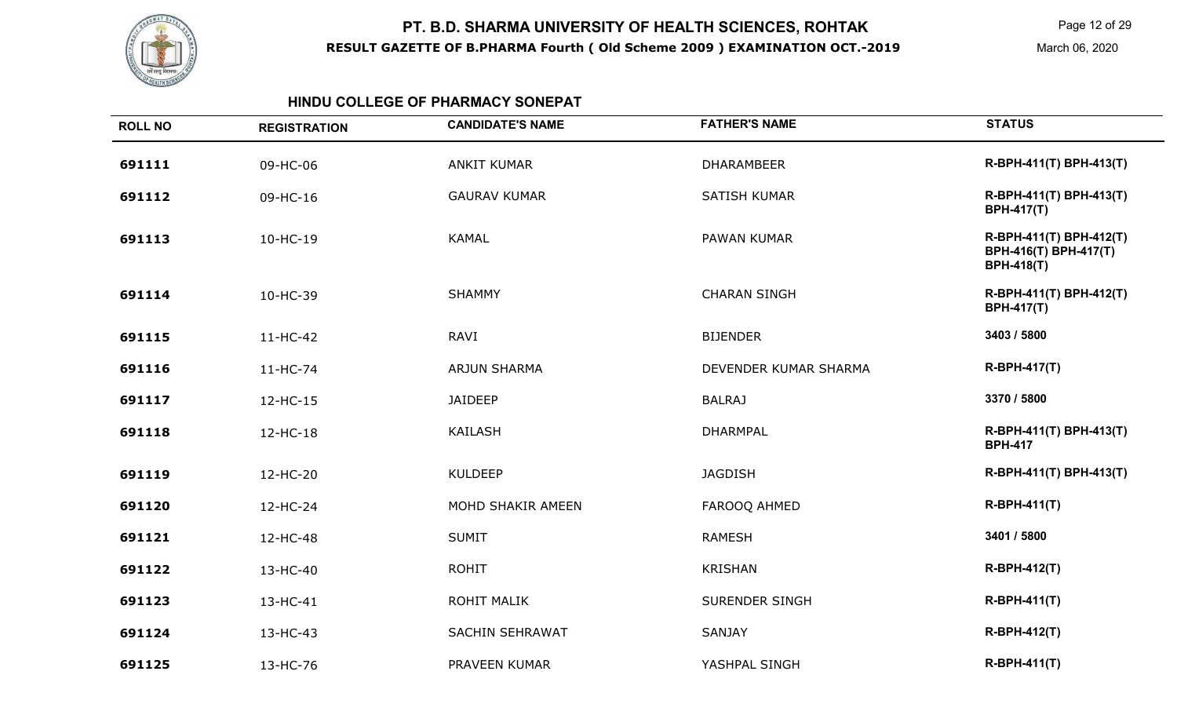

Page 12 of 29

March 06, 2020

#### **HINDU COLLEGE OF PHARMACY SONEPAT**

| <b>ROLL NO</b> | <b>REGISTRATION</b> | <b>CANDIDATE'S NAME</b> | <b>FATHER'S NAME</b>  | <b>STATUS</b>                                                         |
|----------------|---------------------|-------------------------|-----------------------|-----------------------------------------------------------------------|
| 691111         | 09-HC-06            | <b>ANKIT KUMAR</b>      | <b>DHARAMBEER</b>     | R-BPH-411(T) BPH-413(T)                                               |
| 691112         | 09-HC-16            | <b>GAURAV KUMAR</b>     | <b>SATISH KUMAR</b>   | R-BPH-411(T) BPH-413(T)<br><b>BPH-417(T)</b>                          |
| 691113         | $10-HC-19$          | <b>KAMAL</b>            | PAWAN KUMAR           | R-BPH-411(T) BPH-412(T)<br>BPH-416(T) BPH-417(T)<br><b>BPH-418(T)</b> |
| 691114         | 10-HC-39            | <b>SHAMMY</b>           | <b>CHARAN SINGH</b>   | R-BPH-411(T) BPH-412(T)<br><b>BPH-417(T)</b>                          |
| 691115         | 11-HC-42            | RAVI                    | <b>BIJENDER</b>       | 3403 / 5800                                                           |
| 691116         | 11-HC-74            | <b>ARJUN SHARMA</b>     | DEVENDER KUMAR SHARMA | <b>R-BPH-417(T)</b>                                                   |
| 691117         | 12-HC-15            | <b>JAIDEEP</b>          | <b>BALRAJ</b>         | 3370 / 5800                                                           |
| 691118         | 12-HC-18            | <b>KAILASH</b>          | <b>DHARMPAL</b>       | R-BPH-411(T) BPH-413(T)<br><b>BPH-417</b>                             |
| 691119         | 12-HC-20            | <b>KULDEEP</b>          | <b>JAGDISH</b>        | R-BPH-411(T) BPH-413(T)                                               |
| 691120         | 12-HC-24            | MOHD SHAKIR AMEEN       | FAROOQ AHMED          | <b>R-BPH-411(T)</b>                                                   |
| 691121         | 12-HC-48            | <b>SUMIT</b>            | <b>RAMESH</b>         | 3401 / 5800                                                           |
| 691122         | 13-HC-40            | <b>ROHIT</b>            | <b>KRISHAN</b>        | <b>R-BPH-412(T)</b>                                                   |
| 691123         | 13-HC-41            | <b>ROHIT MALIK</b>      | <b>SURENDER SINGH</b> | <b>R-BPH-411(T)</b>                                                   |
| 691124         | 13-HC-43            | <b>SACHIN SEHRAWAT</b>  | <b>SANJAY</b>         | <b>R-BPH-412(T)</b>                                                   |
| 691125         | 13-HC-76            | PRAVEEN KUMAR           | YASHPAL SINGH         | <b>R-BPH-411(T)</b>                                                   |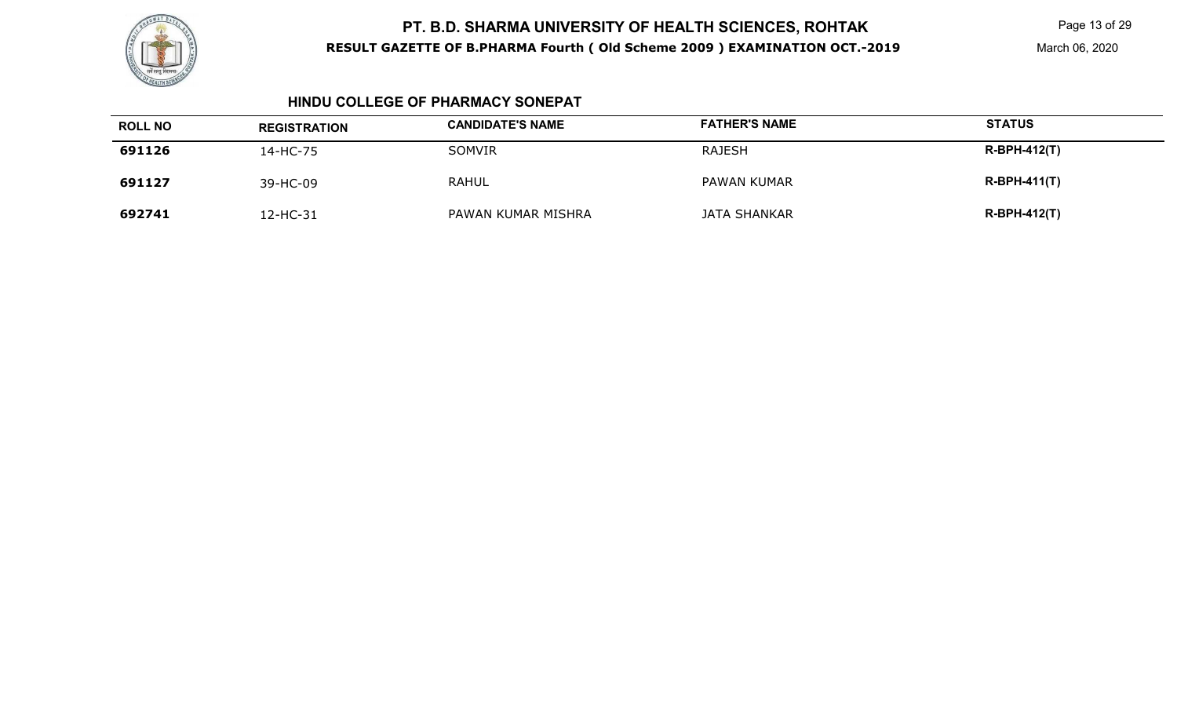

Page 13 of 29

March 06, 2020

#### **HINDU COLLEGE OF PHARMACY SONEPAT**

| <b>ROLL NO</b> | <b>REGISTRATION</b> | <b>CANDIDATE'S NAME</b> | <b>FATHER'S NAME</b> | <b>STATUS</b>       |
|----------------|---------------------|-------------------------|----------------------|---------------------|
| 691126         | 14-HC-75            | <b>SOMVIR</b>           | <b>RAJESH</b>        | <b>R-BPH-412(T)</b> |
| 691127         | 39-HC-09            | <b>RAHUL</b>            | PAWAN KUMAR          | $R-BPH-411(T)$      |
| 692741         | 2-HC-31             | PAWAN KUMAR MISHRA      | JATA SHANKAR         | $R-BPH-412(T)$      |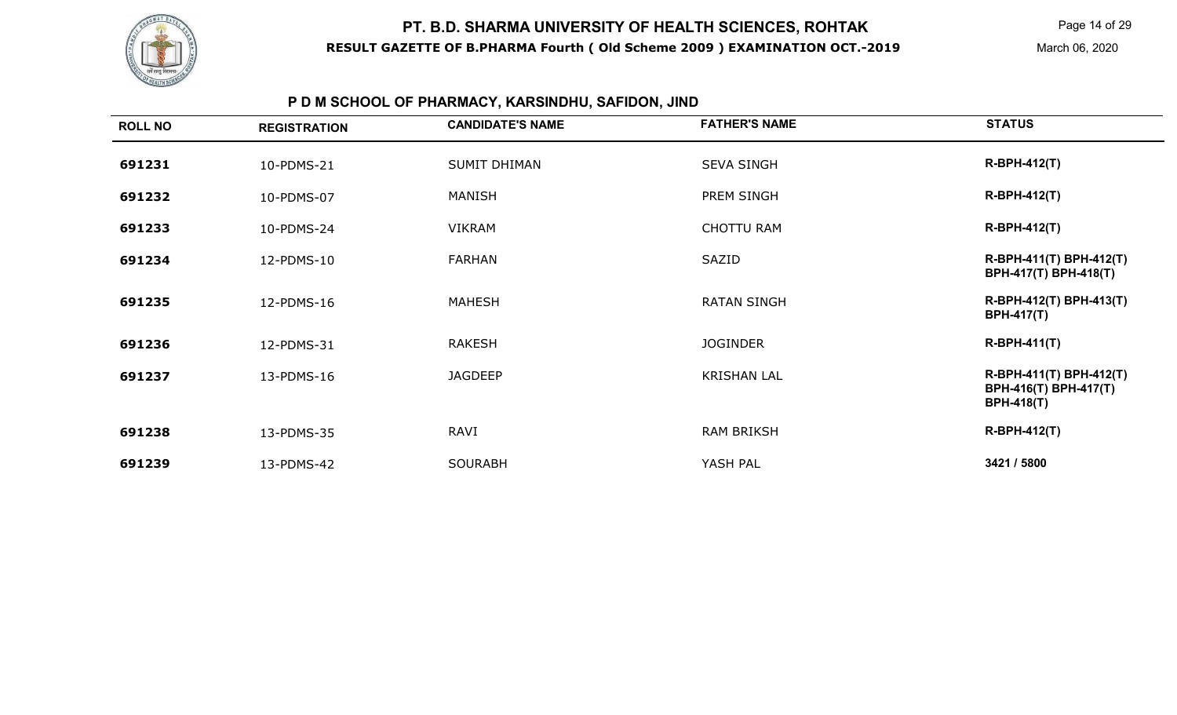

Page 14 of 29

# **P D M SCHOOL OF PHARMACY, KARSINDHU, SAFIDON, JIND**

|        | <b>REGISTRATION</b> | <b>CANDIDATE'S NAME</b> | <b>FATHER'S NAME</b> | <b>STATUS</b>                                                         |
|--------|---------------------|-------------------------|----------------------|-----------------------------------------------------------------------|
| 691231 | 10-PDMS-21          | <b>SUMIT DHIMAN</b>     | <b>SEVA SINGH</b>    | <b>R-BPH-412(T)</b>                                                   |
| 691232 | 10-PDMS-07          | <b>MANISH</b>           | PREM SINGH           | $R-BPH-412(T)$                                                        |
| 691233 | 10-PDMS-24          | <b>VIKRAM</b>           | <b>CHOTTU RAM</b>    | $R-BPH-412(T)$                                                        |
| 691234 | 12-PDMS-10          | <b>FARHAN</b>           | SAZID                | R-BPH-411(T) BPH-412(T)<br>BPH-417(T) BPH-418(T)                      |
| 691235 | 12-PDMS-16          | <b>MAHESH</b>           | <b>RATAN SINGH</b>   | R-BPH-412(T) BPH-413(T)<br><b>BPH-417(T)</b>                          |
| 691236 | 12-PDMS-31          | <b>RAKESH</b>           | <b>JOGINDER</b>      | $R-BPH-411(T)$                                                        |
| 691237 | 13-PDMS-16          | <b>JAGDEEP</b>          | <b>KRISHAN LAL</b>   | R-BPH-411(T) BPH-412(T)<br>BPH-416(T) BPH-417(T)<br><b>BPH-418(T)</b> |
| 691238 | 13-PDMS-35          | <b>RAVI</b>             | <b>RAM BRIKSH</b>    | <b>R-BPH-412(T)</b>                                                   |
| 691239 | 13-PDMS-42          | <b>SOURABH</b>          | YASH PAL             | 3421 / 5800                                                           |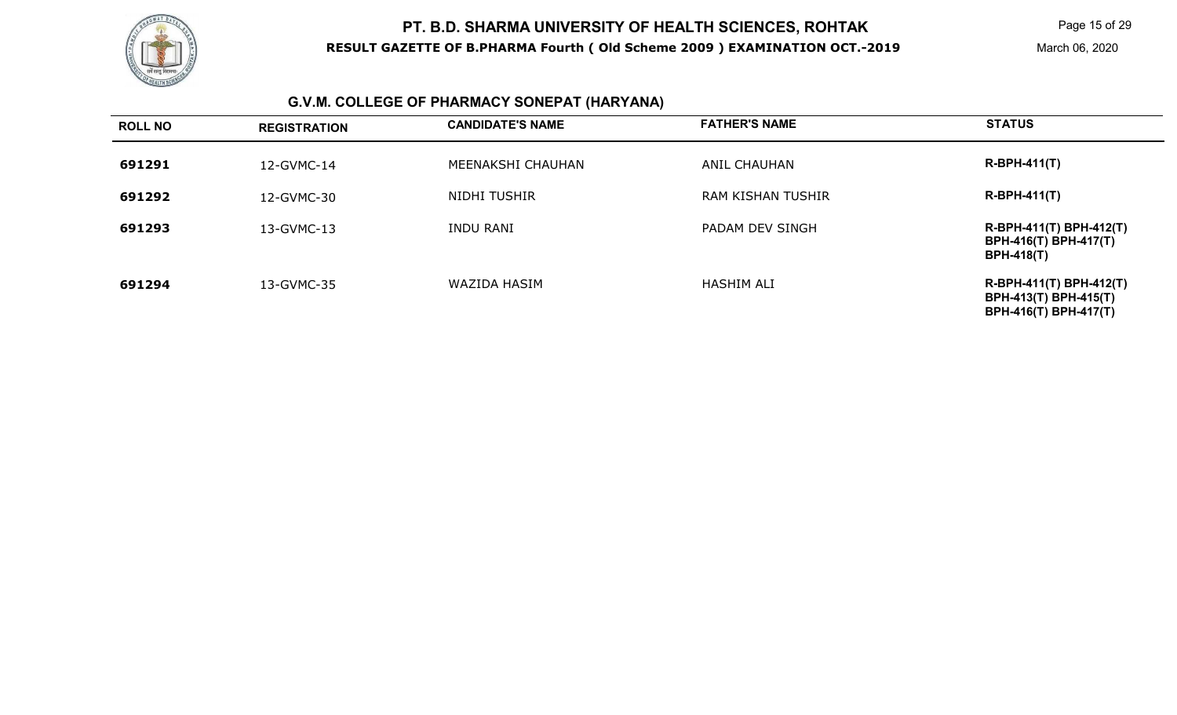

Page 15 of 29

# **G.V.M. COLLEGE OF PHARMACY SONEPAT (HARYANA)**

| <b>ROLL NO</b> | <b>REGISTRATION</b> | <b>CANDIDATE'S NAME</b> | <b>FATHER'S NAME</b>     | <b>STATUS</b>                                                                           |
|----------------|---------------------|-------------------------|--------------------------|-----------------------------------------------------------------------------------------|
| 691291         | 12-GVMC-14          | MEENAKSHI CHAUHAN       | ANIL CHAUHAN             | $R-BPH-411(T)$                                                                          |
| 691292         | 12-GVMC-30          | NIDHI TUSHIR            | <b>RAM KISHAN TUSHIR</b> | $R-BPH-411(T)$                                                                          |
| 691293         | 13-GVMC-13          | <b>INDU RANI</b>        | PADAM DEV SINGH          | R-BPH-411(T) BPH-412(T)<br><b>BPH-416(T) BPH-417(T)</b><br><b>BPH-418(T)</b>            |
| 691294         | 13-GVMC-35          | WAZIDA HASIM            | HASHIM ALI               | R-BPH-411(T) BPH-412(T)<br><b>BPH-413(T) BPH-415(T)</b><br><b>BPH-416(T) BPH-417(T)</b> |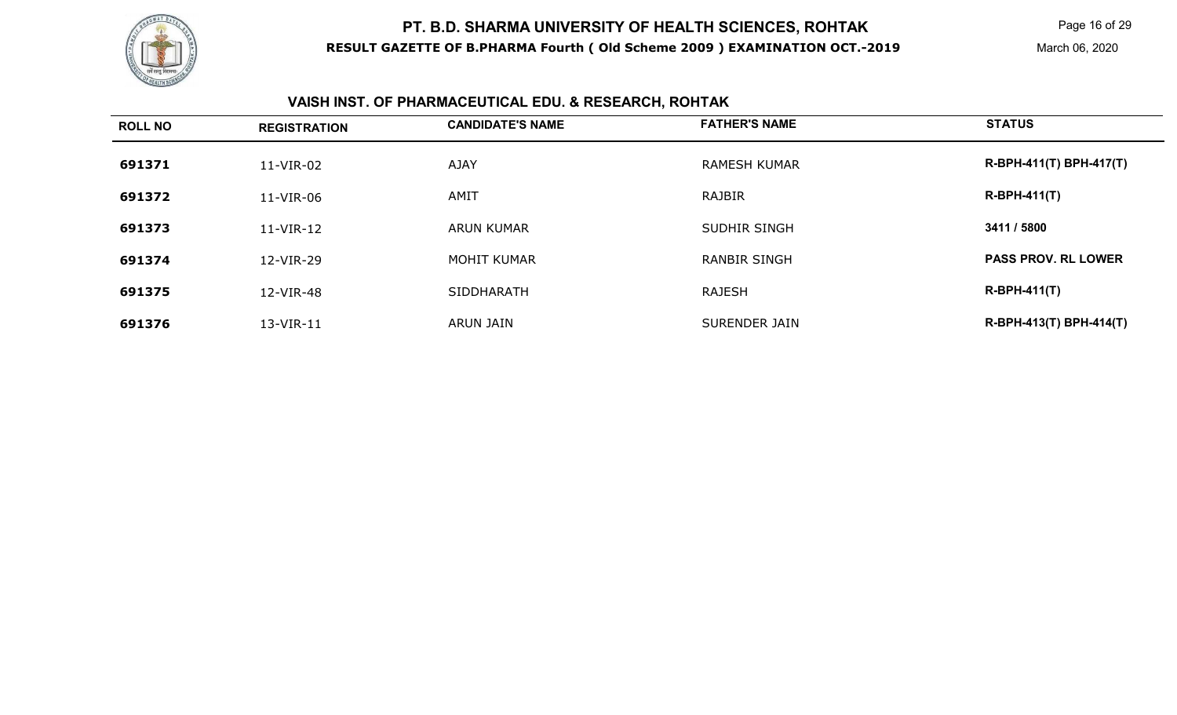

Page 16 of 29

# **VAISH INST. OF PHARMACEUTICAL EDU. & RESEARCH, ROHTAK**

| <b>ROLL NO</b> | <b>REGISTRATION</b> | <b>CANDIDATE'S NAME</b> | <b>FATHER'S NAME</b> | <b>STATUS</b>              |
|----------------|---------------------|-------------------------|----------------------|----------------------------|
| 691371         | 11-VIR-02           | <b>AJAY</b>             | <b>RAMESH KUMAR</b>  | R-BPH-411(T) BPH-417(T)    |
| 691372         | 11-VIR-06           | AMIT                    | <b>RAJBIR</b>        | $R-BPH-411(T)$             |
| 691373         | 11-VIR-12           | <b>ARUN KUMAR</b>       | <b>SUDHIR SINGH</b>  | 3411 / 5800                |
| 691374         | 12-VIR-29           | <b>MOHIT KUMAR</b>      | <b>RANBIR SINGH</b>  | <b>PASS PROV. RL LOWER</b> |
| 691375         | 12-VIR-48           | SIDDHARATH              | <b>RAJESH</b>        | $R-BPH-411(T)$             |
| 691376         | 13-VIR-11           | <b>ARUN JAIN</b>        | <b>SURENDER JAIN</b> | R-BPH-413(T) BPH-414(T)    |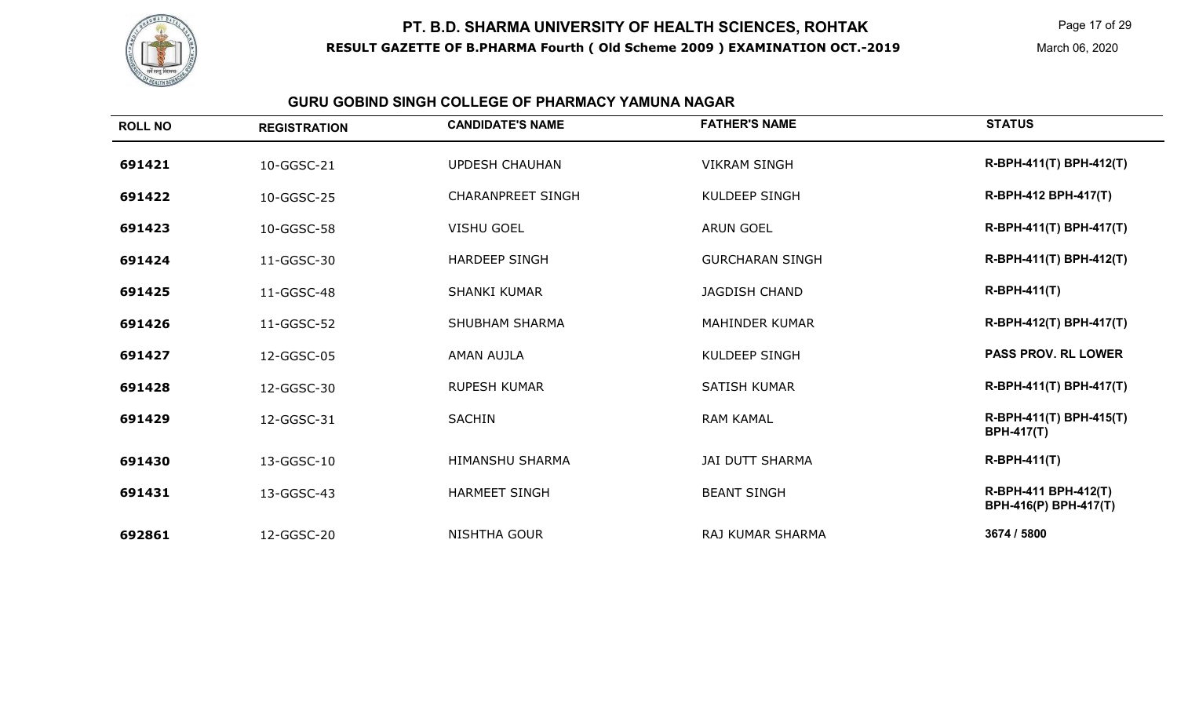

Page 17 of 29

March 06, 2020

#### **GURU GOBIND SINGH COLLEGE OF PHARMACY YAMUNA NAGAR**

| <b>ROLL NO</b> | <b>REGISTRATION</b> | <b>CANDIDATE'S NAME</b>  | <b>FATHER'S NAME</b>   | <b>STATUS</b>                                 |
|----------------|---------------------|--------------------------|------------------------|-----------------------------------------------|
| 691421         | 10-GGSC-21          | <b>UPDESH CHAUHAN</b>    | <b>VIKRAM SINGH</b>    | R-BPH-411(T) BPH-412(T)                       |
| 691422         | 10-GGSC-25          | <b>CHARANPREET SINGH</b> | <b>KULDEEP SINGH</b>   | R-BPH-412 BPH-417(T)                          |
| 691423         | 10-GGSC-58          | <b>VISHU GOEL</b>        | <b>ARUN GOEL</b>       | R-BPH-411(T) BPH-417(T)                       |
| 691424         | 11-GGSC-30          | <b>HARDEEP SINGH</b>     | <b>GURCHARAN SINGH</b> | R-BPH-411(T) BPH-412(T)                       |
| 691425         | 11-GGSC-48          | <b>SHANKI KUMAR</b>      | <b>JAGDISH CHAND</b>   | $R-BPH-411(T)$                                |
| 691426         | 11-GGSC-52          | <b>SHUBHAM SHARMA</b>    | <b>MAHINDER KUMAR</b>  | R-BPH-412(T) BPH-417(T)                       |
| 691427         | 12-GGSC-05          | AMAN AUJLA               | <b>KULDEEP SINGH</b>   | <b>PASS PROV. RL LOWER</b>                    |
| 691428         | 12-GGSC-30          | <b>RUPESH KUMAR</b>      | <b>SATISH KUMAR</b>    | R-BPH-411(T) BPH-417(T)                       |
| 691429         | 12-GGSC-31          | <b>SACHIN</b>            | <b>RAM KAMAL</b>       | R-BPH-411(T) BPH-415(T)<br><b>BPH-417(T)</b>  |
| 691430         | 13-GGSC-10          | HIMANSHU SHARMA          | <b>JAI DUTT SHARMA</b> | <b>R-BPH-411(T)</b>                           |
| 691431         | 13-GGSC-43          | <b>HARMEET SINGH</b>     | <b>BEANT SINGH</b>     | R-BPH-411 BPH-412(T)<br>BPH-416(P) BPH-417(T) |
| 692861         | 12-GGSC-20          | NISHTHA GOUR             | RAJ KUMAR SHARMA       | 3674 / 5800                                   |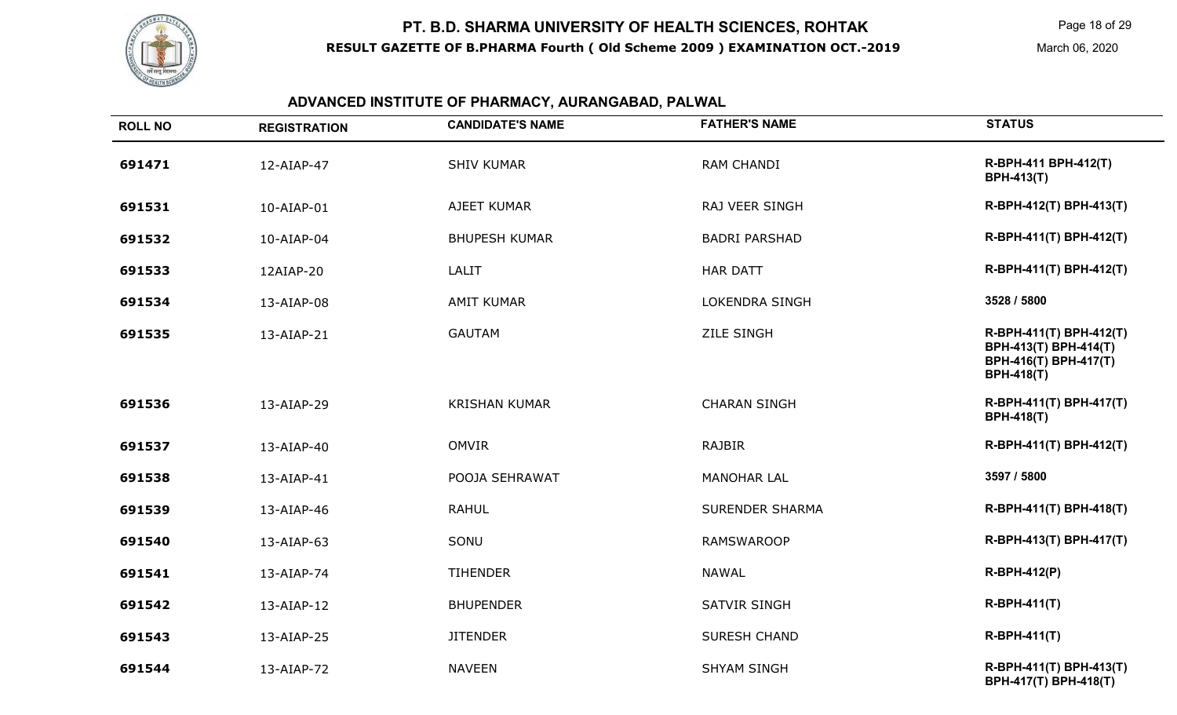

Page 18 of 29

March 06, 2020

#### **ADVANCED INSTITUTE OF PHARMACY, AURANGABAD, PALWAL**

| <b>ROLL NO</b> | <b>REGISTRATION</b> | <b>CANDIDATE'S NAME</b> | <b>FATHER'S NAME</b>   | <b>STATUS</b>                                                                                  |
|----------------|---------------------|-------------------------|------------------------|------------------------------------------------------------------------------------------------|
| 691471         | 12-AIAP-47          | <b>SHIV KUMAR</b>       | <b>RAM CHANDI</b>      | R-BPH-411 BPH-412(T)<br><b>BPH-413(T)</b>                                                      |
| 691531         | 10-AIAP-01          | AJEET KUMAR             | RAJ VEER SINGH         | R-BPH-412(T) BPH-413(T)                                                                        |
| 691532         | 10-AIAP-04          | <b>BHUPESH KUMAR</b>    | <b>BADRI PARSHAD</b>   | R-BPH-411(T) BPH-412(T)                                                                        |
| 691533         | 12AIAP-20           | <b>LALIT</b>            | <b>HAR DATT</b>        | R-BPH-411(T) BPH-412(T)                                                                        |
| 691534         | 13-AIAP-08          | <b>AMIT KUMAR</b>       | <b>LOKENDRA SINGH</b>  | 3528 / 5800                                                                                    |
| 691535         | 13-AIAP-21          | <b>GAUTAM</b>           | <b>ZILE SINGH</b>      | R-BPH-411(T) BPH-412(T)<br>BPH-413(T) BPH-414(T)<br>BPH-416(T) BPH-417(T)<br><b>BPH-418(T)</b> |
| 691536         | 13-AIAP-29          | <b>KRISHAN KUMAR</b>    | <b>CHARAN SINGH</b>    | R-BPH-411(T) BPH-417(T)<br><b>BPH-418(T)</b>                                                   |
| 691537         | 13-AIAP-40          | <b>OMVIR</b>            | <b>RAJBIR</b>          | R-BPH-411(T) BPH-412(T)                                                                        |
| 691538         | 13-AIAP-41          | POOJA SEHRAWAT          | <b>MANOHAR LAL</b>     | 3597 / 5800                                                                                    |
| 691539         | 13-AIAP-46          | <b>RAHUL</b>            | <b>SURENDER SHARMA</b> | R-BPH-411(T) BPH-418(T)                                                                        |
| 691540         | 13-AIAP-63          | SONU                    | <b>RAMSWAROOP</b>      | R-BPH-413(T) BPH-417(T)                                                                        |
| 691541         | 13-AIAP-74          | <b>TIHENDER</b>         | <b>NAWAL</b>           | R-BPH-412(P)                                                                                   |
| 691542         | 13-AIAP-12          | <b>BHUPENDER</b>        | <b>SATVIR SINGH</b>    | <b>R-BPH-411(T)</b>                                                                            |
| 691543         | 13-AIAP-25          | <b>JITENDER</b>         | <b>SURESH CHAND</b>    | <b>R-BPH-411(T)</b>                                                                            |
| 691544         | 13-AIAP-72          | <b>NAVEEN</b>           | <b>SHYAM SINGH</b>     | R-BPH-411(T) BPH-413(T)<br>BPH-417(T) BPH-418(T)                                               |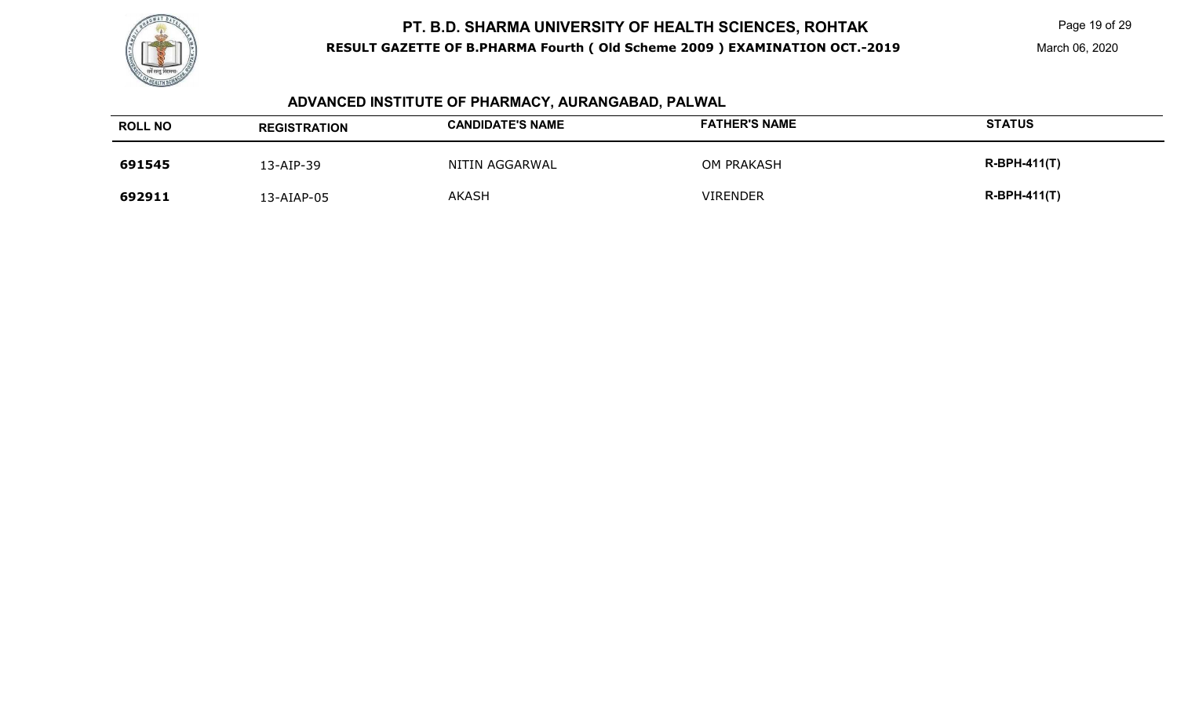

Page 19 of 29

# **ADVANCED INSTITUTE OF PHARMACY, AURANGABAD, PALWAL**

| <b>ROLL NO</b> | <b>REGISTRATION</b> | <b>CANDIDATE'S NAME</b> | <b>FATHER'S NAME</b> | <b>STATUS</b>  |
|----------------|---------------------|-------------------------|----------------------|----------------|
| 691545         | 13-AIP-39           | NITIN AGGARWAL          | <b>OM PRAKASH</b>    | $R-BPH-411(T)$ |
| 692911         | 13-AIAP-05          | <b>AKASH</b>            | <b>VIRENDER</b>      | $R-BPH-411(T)$ |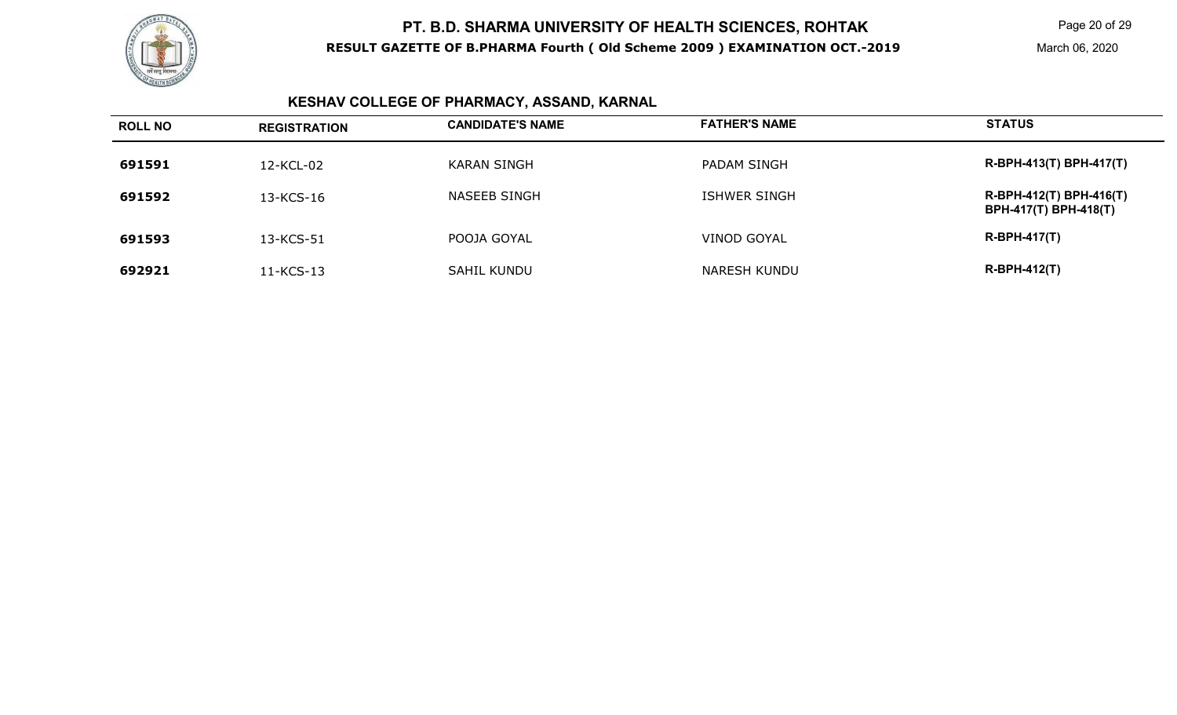

Page 20 of 29

March 06, 2020

# **KESHAV COLLEGE OF PHARMACY, ASSAND, KARNAL**

| <b>ROLL NO</b> | <b>REGISTRATION</b> | <b>CANDIDATE'S NAME</b> | <b>FATHER'S NAME</b> | <b>STATUS</b>                                           |
|----------------|---------------------|-------------------------|----------------------|---------------------------------------------------------|
| 691591         | 12-KCL-02           | KARAN SINGH             | PADAM SINGH          | R-BPH-413(T) BPH-417(T)                                 |
| 691592         | 13-KCS-16           | NASEEB SINGH            | ISHWER SINGH         | R-BPH-412(T) BPH-416(T)<br><b>BPH-417(T) BPH-418(T)</b> |
| 691593         | 13-KCS-51           | POOJA GOYAL             | VINOD GOYAL          | <b>R-BPH-417(T)</b>                                     |
| 692921         | 11-KCS-13           | <b>SAHIL KUNDU</b>      | NARESH KUNDU         | $R-BPH-412(T)$                                          |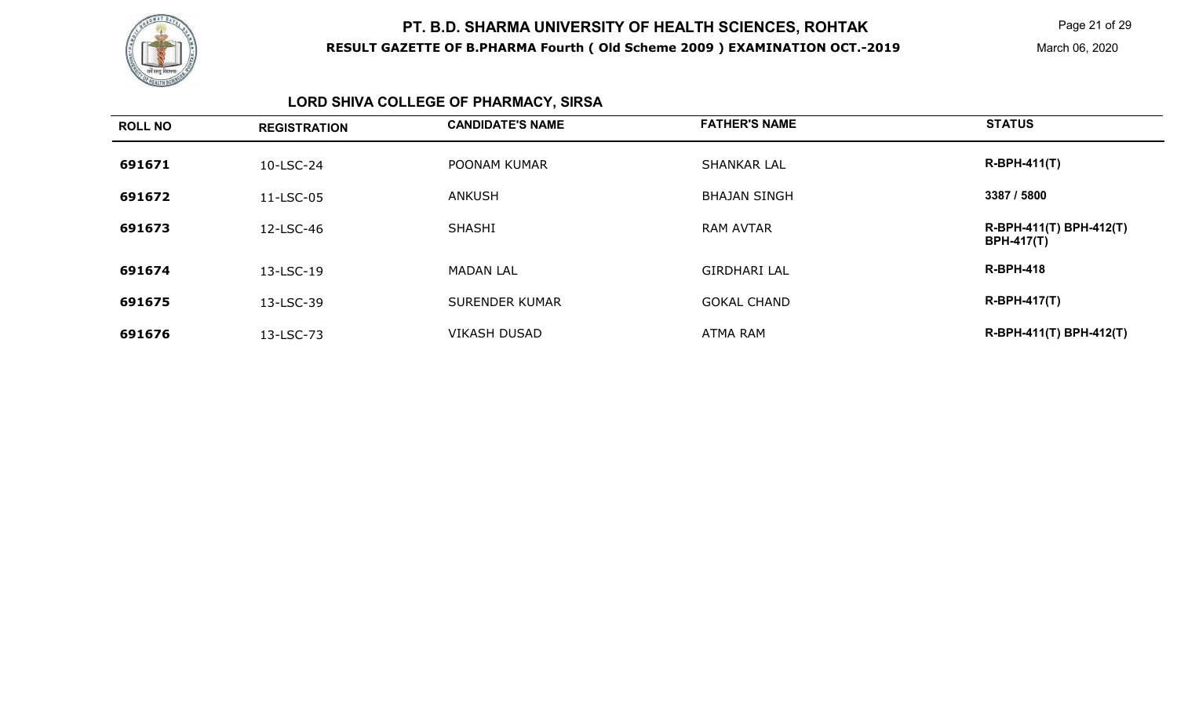

Page 21 of 29

March 06, 2020

# **LORD SHIVA COLLEGE OF PHARMACY, SIRSA**

| <b>ROLL NO</b> | <b>REGISTRATION</b> | <b>CANDIDATE'S NAME</b> | <b>FATHER'S NAME</b> | <b>STATUS</b>                                |
|----------------|---------------------|-------------------------|----------------------|----------------------------------------------|
| 691671         | 10-LSC-24           | POONAM KUMAR            | <b>SHANKAR LAL</b>   | $R-BPH-411(T)$                               |
| 691672         | 11-LSC-05           | <b>ANKUSH</b>           | <b>BHAJAN SINGH</b>  | 3387 / 5800                                  |
| 691673         | 12-LSC-46           | <b>SHASHI</b>           | <b>RAM AVTAR</b>     | R-BPH-411(T) BPH-412(T)<br><b>BPH-417(T)</b> |
| 691674         | 13-LSC-19           | <b>MADAN LAL</b>        | <b>GIRDHARI LAL</b>  | <b>R-BPH-418</b>                             |
| 691675         | 13-LSC-39           | <b>SURENDER KUMAR</b>   | <b>GOKAL CHAND</b>   | $R-BPH-417(T)$                               |
| 691676         | 13-LSC-73           | <b>VIKASH DUSAD</b>     | <b>ATMA RAM</b>      | R-BPH-411(T) BPH-412(T)                      |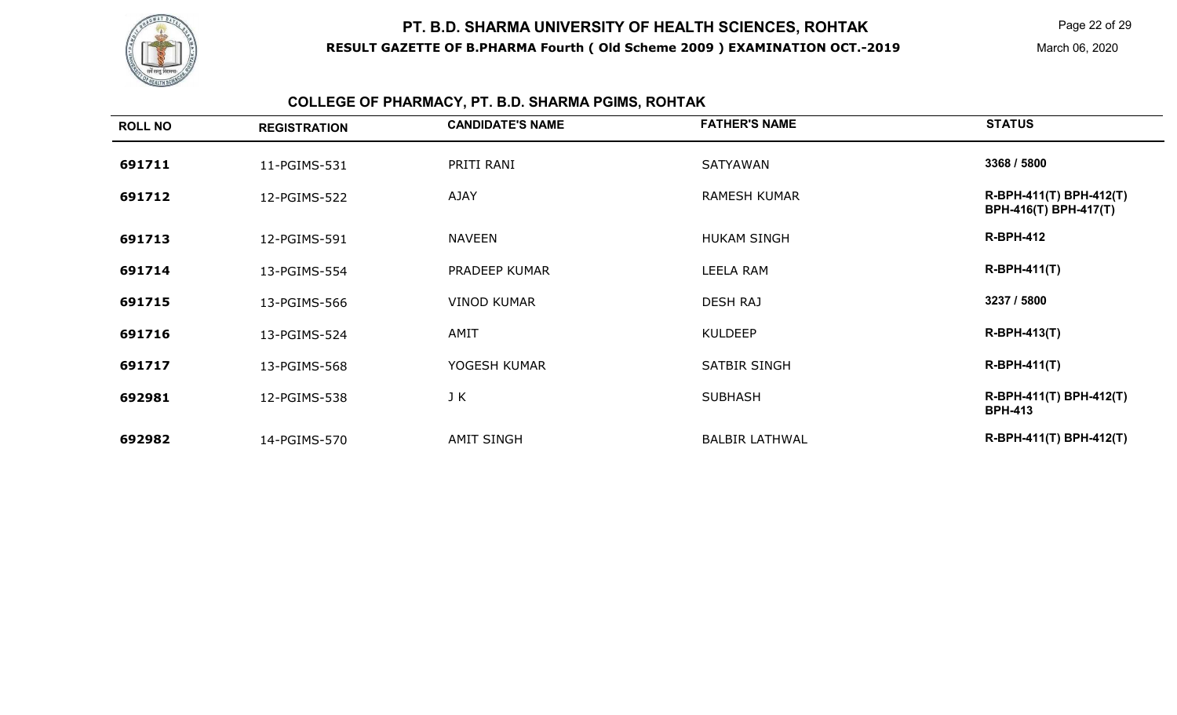

Page 22 of 29

# **COLLEGE OF PHARMACY, PT. B.D. SHARMA PGIMS, ROHTAK**

| <b>STATUS</b>                                    |
|--------------------------------------------------|
| 3368 / 5800                                      |
| R-BPH-411(T) BPH-412(T)<br>BPH-416(T) BPH-417(T) |
| <b>R-BPH-412</b>                                 |
| $R-BPH-411(T)$                                   |
| 3237 / 5800                                      |
| <b>R-BPH-413(T)</b>                              |
| $R-BPH-411(T)$                                   |
| R-BPH-411(T) BPH-412(T)<br><b>BPH-413</b>        |
| R-BPH-411(T) BPH-412(T)                          |
|                                                  |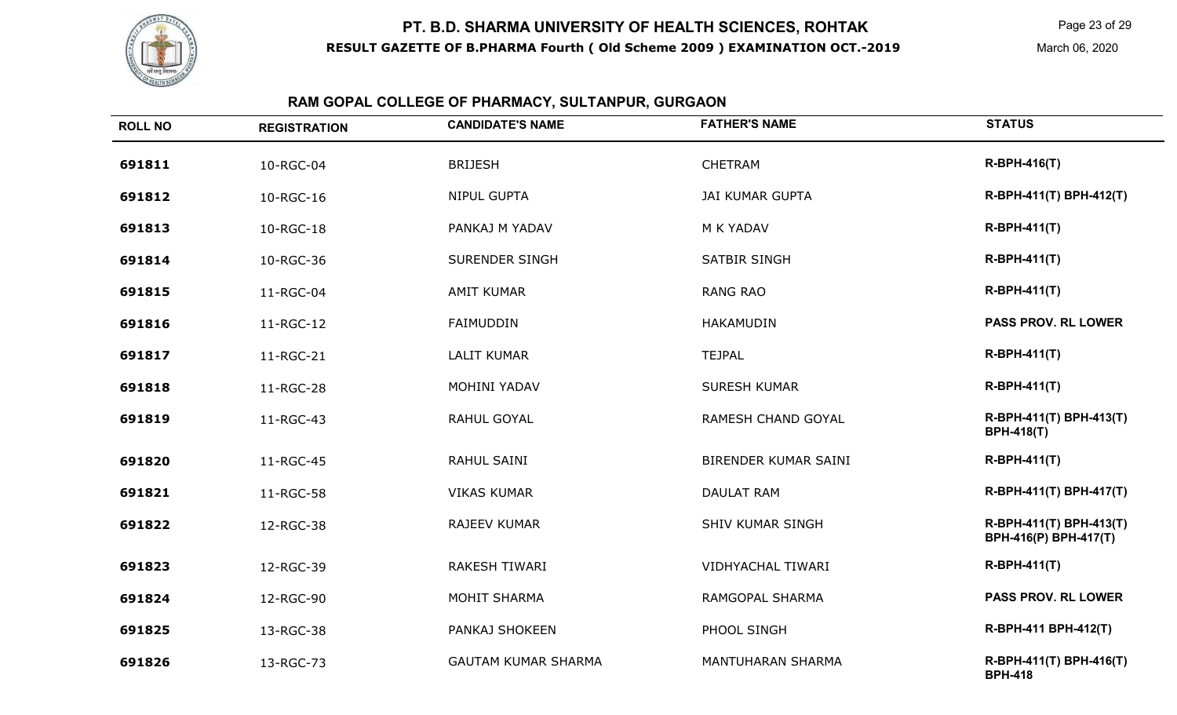

Page 23 of 29

March 06, 2020

# **RAM GOPAL COLLEGE OF PHARMACY, SULTANPUR, GURGAON**

| <b>ROLL NO</b> | <b>REGISTRATION</b> | <b>CANDIDATE'S NAME</b>    | <b>FATHER'S NAME</b>     | <b>STATUS</b>                                    |
|----------------|---------------------|----------------------------|--------------------------|--------------------------------------------------|
| 691811         | 10-RGC-04           | <b>BRIJESH</b>             | <b>CHETRAM</b>           | <b>R-BPH-416(T)</b>                              |
| 691812         | 10-RGC-16           | NIPUL GUPTA                | <b>JAI KUMAR GUPTA</b>   | R-BPH-411(T) BPH-412(T)                          |
| 691813         | 10-RGC-18           | PANKAJ M YADAV             | M K YADAV                | <b>R-BPH-411(T)</b>                              |
| 691814         | 10-RGC-36           | SURENDER SINGH             | SATBIR SINGH             | <b>R-BPH-411(T)</b>                              |
| 691815         | 11-RGC-04           | <b>AMIT KUMAR</b>          | <b>RANG RAO</b>          | <b>R-BPH-411(T)</b>                              |
| 691816         | 11-RGC-12           | FAIMUDDIN                  | <b>HAKAMUDIN</b>         | <b>PASS PROV. RL LOWER</b>                       |
| 691817         | 11-RGC-21           | <b>LALIT KUMAR</b>         | <b>TEJPAL</b>            | R-BPH-411(T)                                     |
| 691818         | 11-RGC-28           | MOHINI YADAV               | <b>SURESH KUMAR</b>      | <b>R-BPH-411(T)</b>                              |
| 691819         | 11-RGC-43           | RAHUL GOYAL                | RAMESH CHAND GOYAL       | R-BPH-411(T) BPH-413(T)<br><b>BPH-418(T)</b>     |
| 691820         | 11-RGC-45           | RAHUL SAINI                | BIRENDER KUMAR SAINI     | <b>R-BPH-411(T)</b>                              |
| 691821         | 11-RGC-58           | <b>VIKAS KUMAR</b>         | <b>DAULAT RAM</b>        | R-BPH-411(T) BPH-417(T)                          |
| 691822         | 12-RGC-38           | RAJEEV KUMAR               | <b>SHIV KUMAR SINGH</b>  | R-BPH-411(T) BPH-413(T)<br>BPH-416(P) BPH-417(T) |
| 691823         | 12-RGC-39           | <b>RAKESH TIWARI</b>       | <b>VIDHYACHAL TIWARI</b> | <b>R-BPH-411(T)</b>                              |
| 691824         | 12-RGC-90           | MOHIT SHARMA               | RAMGOPAL SHARMA          | <b>PASS PROV. RL LOWER</b>                       |
| 691825         | 13-RGC-38           | PANKAJ SHOKEEN             | PHOOL SINGH              | R-BPH-411 BPH-412(T)                             |
| 691826         | 13-RGC-73           | <b>GAUTAM KUMAR SHARMA</b> | <b>MANTUHARAN SHARMA</b> | R-BPH-411(T) BPH-416(T)<br><b>BPH-418</b>        |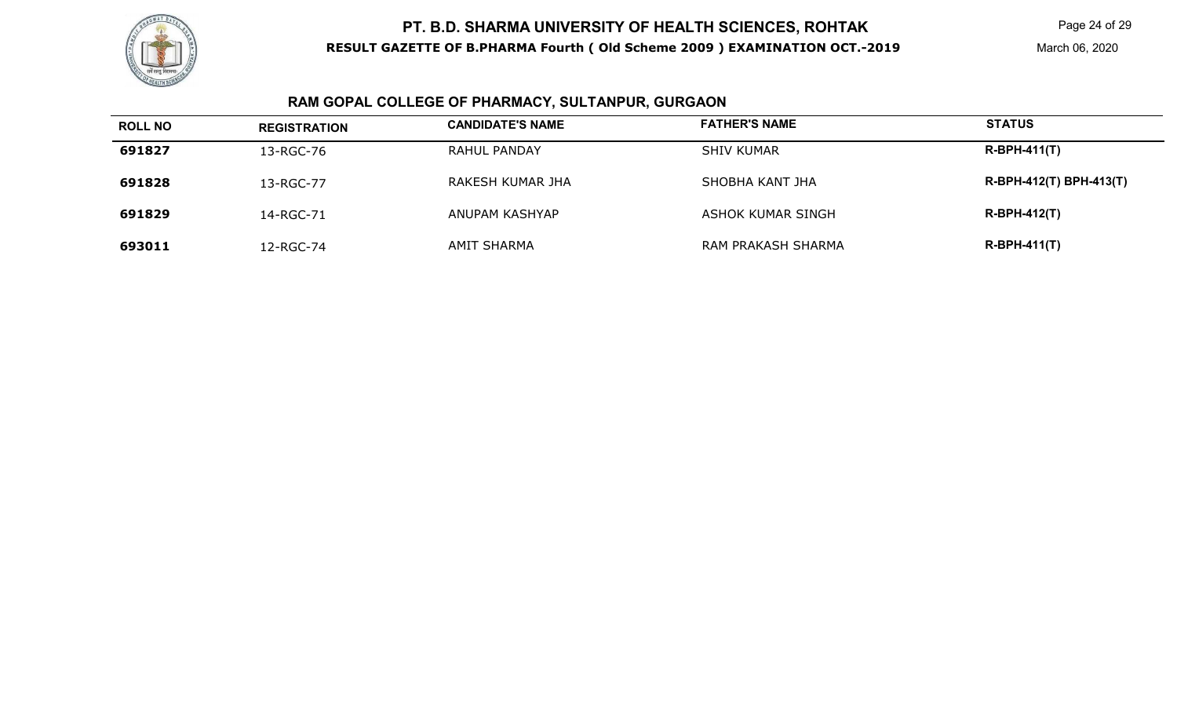

Page 24 of 29

# **RAM GOPAL COLLEGE OF PHARMACY, SULTANPUR, GURGAON**

| <b>ROLL NO</b> | <b>REGISTRATION</b> | <b>CANDIDATE'S NAME</b> | <b>FATHER'S NAME</b> | <b>STATUS</b>           |
|----------------|---------------------|-------------------------|----------------------|-------------------------|
| 691827         | 13-RGC-76           | <b>RAHUL PANDAY</b>     | <b>SHIV KUMAR</b>    | $R-BPH-411(T)$          |
| 691828         | 13-RGC-77           | RAKESH KUMAR JHA        | SHOBHA KANT JHA      | R-BPH-412(T) BPH-413(T) |
| 691829         | 14-RGC-71           | ANUPAM KASHYAP          | ASHOK KUMAR SINGH    | $R-BPH-412(T)$          |
| 693011         | 12-RGC-74           | AMIT SHARMA             | RAM PRAKASH SHARMA   | $R-BPH-411(T)$          |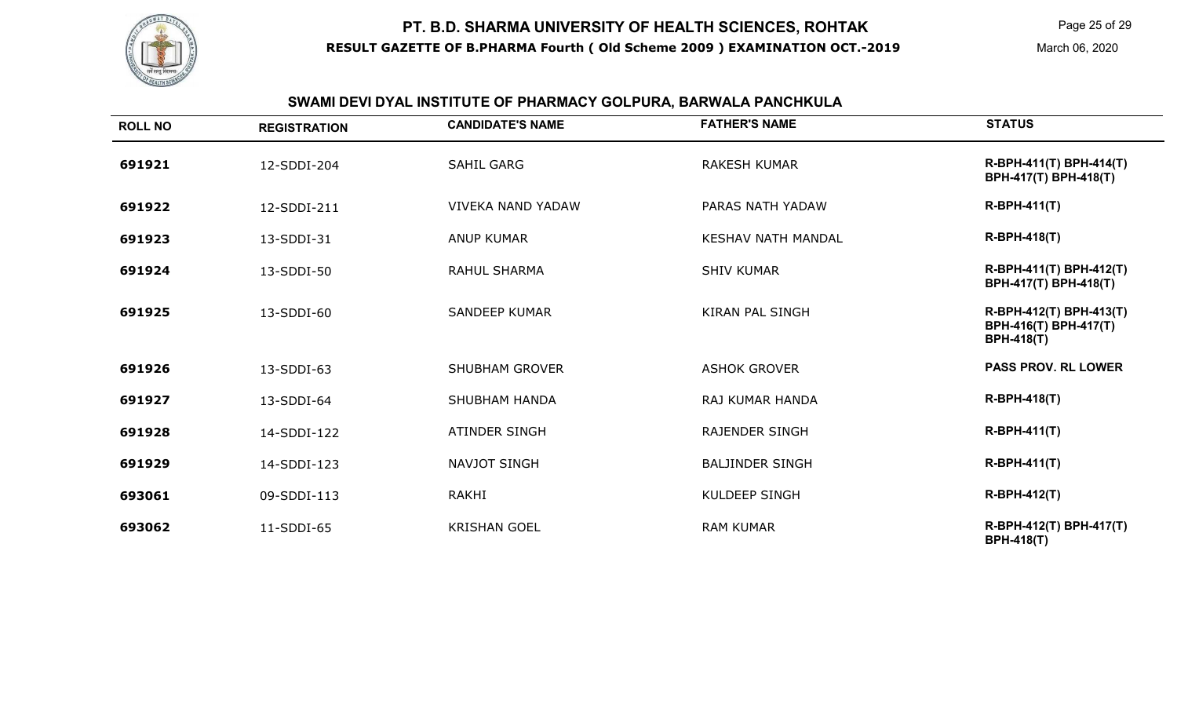

# **SWAMI DEVI DYAL INSTITUTE OF PHARMACY GOLPURA, BARWALA PANCHKULA**

| <b>ROLL NO</b> | <b>REGISTRATION</b> | <b>CANDIDATE'S NAME</b>  | <b>FATHER'S NAME</b>      | <b>STATUS</b>                                                         |
|----------------|---------------------|--------------------------|---------------------------|-----------------------------------------------------------------------|
| 691921         | 12-SDDI-204         | <b>SAHIL GARG</b>        | <b>RAKESH KUMAR</b>       | R-BPH-411(T) BPH-414(T)<br>BPH-417(T) BPH-418(T)                      |
| 691922         | 12-SDDI-211         | <b>VIVEKA NAND YADAW</b> | PARAS NATH YADAW          | <b>R-BPH-411(T)</b>                                                   |
| 691923         | 13-SDDI-31          | <b>ANUP KUMAR</b>        | <b>KESHAV NATH MANDAL</b> | <b>R-BPH-418(T)</b>                                                   |
| 691924         | 13-SDDI-50          | <b>RAHUL SHARMA</b>      | <b>SHIV KUMAR</b>         | R-BPH-411(T) BPH-412(T)<br>BPH-417(T) BPH-418(T)                      |
| 691925         | $13 - SDDI - 60$    | <b>SANDEEP KUMAR</b>     | <b>KIRAN PAL SINGH</b>    | R-BPH-412(T) BPH-413(T)<br>BPH-416(T) BPH-417(T)<br><b>BPH-418(T)</b> |
| 691926         | 13-SDDI-63          | <b>SHUBHAM GROVER</b>    | <b>ASHOK GROVER</b>       | <b>PASS PROV. RL LOWER</b>                                            |
| 691927         | 13-SDDI-64          | <b>SHUBHAM HANDA</b>     | <b>RAJ KUMAR HANDA</b>    | <b>R-BPH-418(T)</b>                                                   |
| 691928         | 14-SDDI-122         | <b>ATINDER SINGH</b>     | <b>RAJENDER SINGH</b>     | $R-BPH-411(T)$                                                        |
| 691929         | 14-SDDI-123         | NAVJOT SINGH             | <b>BALJINDER SINGH</b>    | $R-BPH-411(T)$                                                        |
| 693061         | 09-SDDI-113         | RAKHI                    | <b>KULDEEP SINGH</b>      | <b>R-BPH-412(T)</b>                                                   |
| 693062         | 11-SDDI-65          | <b>KRISHAN GOEL</b>      | <b>RAM KUMAR</b>          | R-BPH-412(T) BPH-417(T)<br><b>BPH-418(T)</b>                          |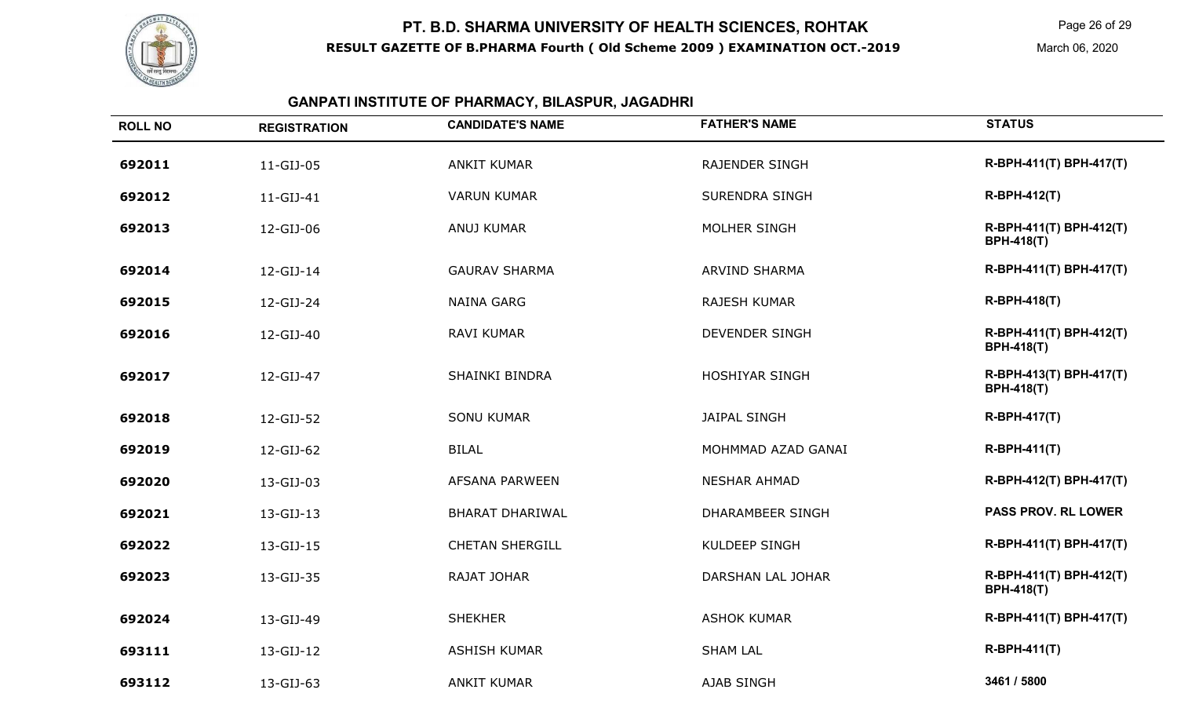

Page 26 of 29

March 06, 2020

#### **GANPATI INSTITUTE OF PHARMACY, BILASPUR, JAGADHRI**

| <b>ROLL NO</b> | <b>REGISTRATION</b> | <b>CANDIDATE'S NAME</b> | <b>FATHER'S NAME</b>    | <b>STATUS</b>                                |
|----------------|---------------------|-------------------------|-------------------------|----------------------------------------------|
| 692011         | 11-GIJ-05           | <b>ANKIT KUMAR</b>      | <b>RAJENDER SINGH</b>   | R-BPH-411(T) BPH-417(T)                      |
| 692012         | 11-GIJ-41           | <b>VARUN KUMAR</b>      | <b>SURENDRA SINGH</b>   | <b>R-BPH-412(T)</b>                          |
| 692013         | 12-GIJ-06           | <b>ANUJ KUMAR</b>       | MOLHER SINGH            | R-BPH-411(T) BPH-412(T)<br><b>BPH-418(T)</b> |
| 692014         | 12-GIJ-14           | <b>GAURAV SHARMA</b>    | <b>ARVIND SHARMA</b>    | R-BPH-411(T) BPH-417(T)                      |
| 692015         | 12-GIJ-24           | <b>NAINA GARG</b>       | <b>RAJESH KUMAR</b>     | R-BPH-418(T)                                 |
| 692016         | 12-GIJ-40           | <b>RAVI KUMAR</b>       | <b>DEVENDER SINGH</b>   | R-BPH-411(T) BPH-412(T)<br><b>BPH-418(T)</b> |
| 692017         | 12-GIJ-47           | <b>SHAINKI BINDRA</b>   | <b>HOSHIYAR SINGH</b>   | R-BPH-413(T) BPH-417(T)<br><b>BPH-418(T)</b> |
| 692018         | 12-GIJ-52           | <b>SONU KUMAR</b>       | <b>JAIPAL SINGH</b>     | R-BPH-417(T)                                 |
| 692019         | 12-GIJ-62           | <b>BILAL</b>            | MOHMMAD AZAD GANAI      | R-BPH-411(T)                                 |
| 692020         | 13-GIJ-03           | AFSANA PARWEEN          | <b>NESHAR AHMAD</b>     | R-BPH-412(T) BPH-417(T)                      |
| 692021         | 13-GIJ-13           | <b>BHARAT DHARIWAL</b>  | <b>DHARAMBEER SINGH</b> | <b>PASS PROV. RL LOWER</b>                   |
| 692022         | 13-GIJ-15           | <b>CHETAN SHERGILL</b>  | <b>KULDEEP SINGH</b>    | R-BPH-411(T) BPH-417(T)                      |
| 692023         | 13-GIJ-35           | RAJAT JOHAR             | DARSHAN LAL JOHAR       | R-BPH-411(T) BPH-412(T)<br><b>BPH-418(T)</b> |
| 692024         | 13-GIJ-49           | <b>SHEKHER</b>          | <b>ASHOK KUMAR</b>      | R-BPH-411(T) BPH-417(T)                      |
| 693111         | 13-GIJ-12           | <b>ASHISH KUMAR</b>     | <b>SHAM LAL</b>         | R-BPH-411(T)                                 |
| 693112         | 13-GIJ-63           | <b>ANKIT KUMAR</b>      | <b>AJAB SINGH</b>       | 3461 / 5800                                  |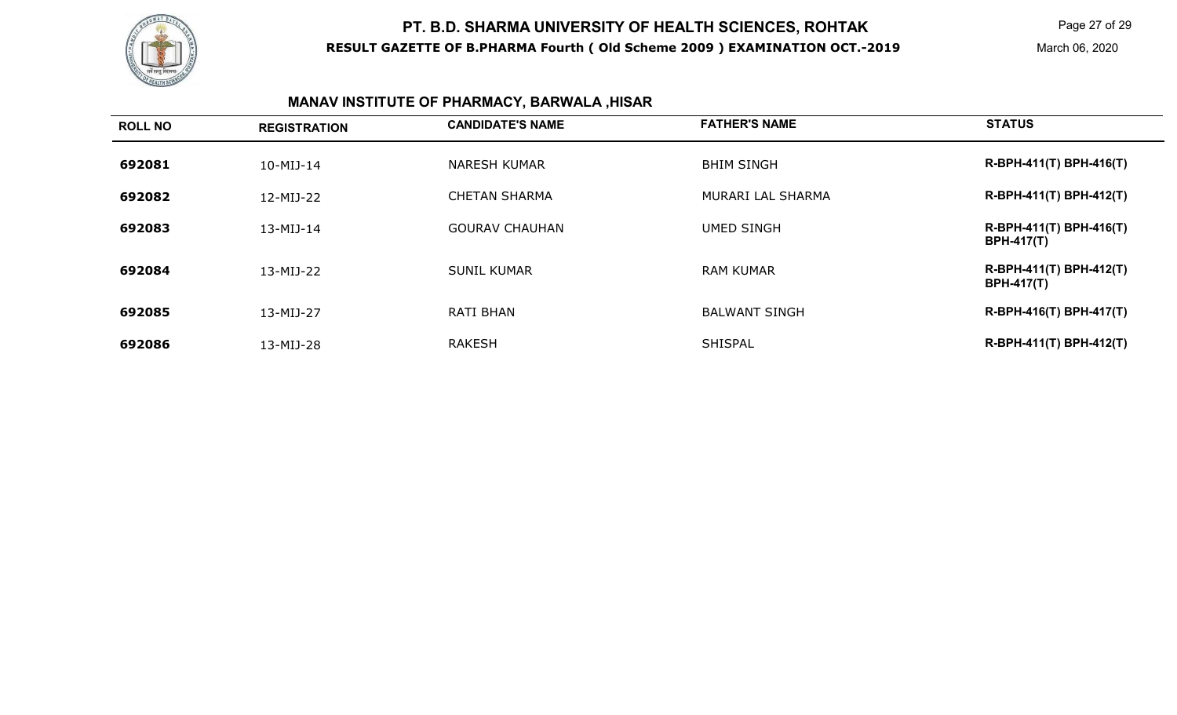

Page 27 of 29

March 06, 2020

# **MANAV INSTITUTE OF PHARMACY, BARWALA ,HISAR**

| <b>ROLL NO</b> | <b>REGISTRATION</b> | <b>CANDIDATE'S NAME</b> | <b>FATHER'S NAME</b> | <b>STATUS</b>                                |
|----------------|---------------------|-------------------------|----------------------|----------------------------------------------|
| 692081         | $10-MIJ-14$         | NARESH KUMAR            | <b>BHIM SINGH</b>    | R-BPH-411(T) BPH-416(T)                      |
| 692082         | 12-MIJ-22           | <b>CHETAN SHARMA</b>    | MURARI LAL SHARMA    | R-BPH-411(T) BPH-412(T)                      |
| 692083         | 13-MIJ-14           | <b>GOURAV CHAUHAN</b>   | <b>UMED SINGH</b>    | R-BPH-411(T) BPH-416(T)<br><b>BPH-417(T)</b> |
| 692084         | 13-MIJ-22           | <b>SUNIL KUMAR</b>      | <b>RAM KUMAR</b>     | R-BPH-411(T) BPH-412(T)<br><b>BPH-417(T)</b> |
| 692085         | 13-MIJ-27           | <b>RATI BHAN</b>        | <b>BALWANT SINGH</b> | R-BPH-416(T) BPH-417(T)                      |
| 692086         | 13-MIJ-28           | <b>RAKESH</b>           | <b>SHISPAL</b>       | R-BPH-411(T) BPH-412(T)                      |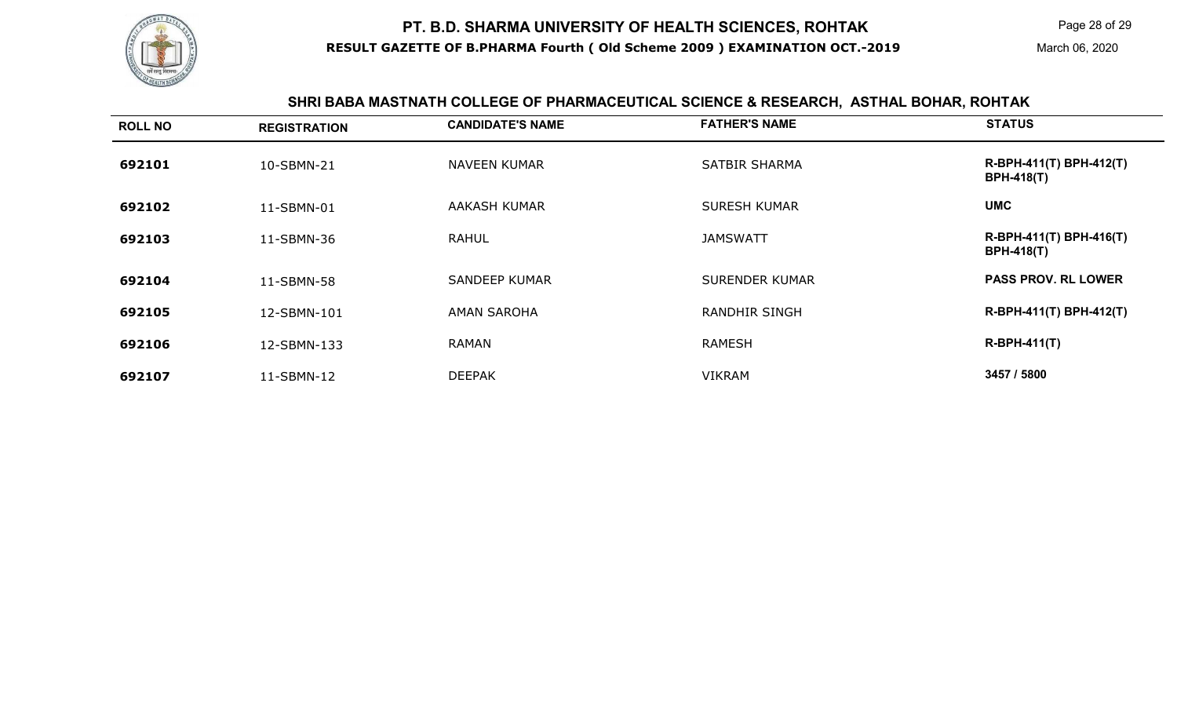

Page 28 of 29

#### **SHRI BABA MASTNATH COLLEGE OF PHARMACEUTICAL SCIENCE & RESEARCH, ASTHAL BOHAR, ROHTAK**

| <b>ROLL NO</b> | <b>REGISTRATION</b> | <b>CANDIDATE'S NAME</b> | <b>FATHER'S NAME</b>  | <b>STATUS</b>                                |
|----------------|---------------------|-------------------------|-----------------------|----------------------------------------------|
| 692101         | 10-SBMN-21          | <b>NAVEEN KUMAR</b>     | <b>SATBIR SHARMA</b>  | R-BPH-411(T) BPH-412(T)<br><b>BPH-418(T)</b> |
| 692102         | 11-SBMN-01          | AAKASH KUMAR            | <b>SURESH KUMAR</b>   | <b>UMC</b>                                   |
| 692103         | 11-SBMN-36          | <b>RAHUL</b>            | <b>JAMSWATT</b>       | R-BPH-411(T) BPH-416(T)<br><b>BPH-418(T)</b> |
| 692104         | 11-SBMN-58          | <b>SANDEEP KUMAR</b>    | <b>SURENDER KUMAR</b> | <b>PASS PROV. RL LOWER</b>                   |
| 692105         | 12-SBMN-101         | <b>AMAN SAROHA</b>      | <b>RANDHIR SINGH</b>  | R-BPH-411(T) BPH-412(T)                      |
| 692106         | 12-SBMN-133         | <b>RAMAN</b>            | <b>RAMESH</b>         | R-BPH-411(T)                                 |
| 692107         | 11-SBMN-12          | <b>DEEPAK</b>           | <b>VIKRAM</b>         | 3457 / 5800                                  |